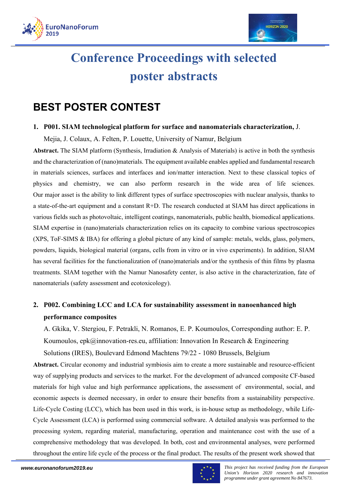



# **Conference Proceedings with selected poster abstracts**

# **BEST POSTER CONTEST**

### **1. P001. SIAM technological platform for surface and nanomaterials characterization,** J.

Mejia, J. Colaux, A. Felten, P. Louette, University of Namur, Belgium

**Abstract.** The SIAM platform (Synthesis, Irradiation & Analysis of Materials) is active in both the synthesis and the characterization of (nano)materials. The equipment available enables applied and fundamental research in materials sciences, surfaces and interfaces and ion/matter interaction. Next to these classical topics of physics and chemistry, we can also perform research in the wide area of life sciences. Our major asset is the ability to link different types of surface spectroscopies with nuclear analysis, thanks to a state-of-the-art equipment and a constant R+D. The research conducted at SIAM has direct applications in various fields such as photovoltaic, intelligent coatings, nanomaterials, public health, biomedical applications. SIAM expertise in (nano)materials characterization relies on its capacity to combine various spectroscopies (XPS, ToF-SIMS & IBA) for offering a global picture of any kind of sample: metals, welds, glass, polymers, powders, liquids, biological material (organs, cells from in vitro or in vivo experiments). In addition, SIAM has several facilities for the functionalization of (nano)materials and/or the synthesis of thin films by plasma treatments. SIAM together with the Namur Nanosafety center, is also active in the characterization, fate of nanomaterials (safety assessment and ecotoxicology).

# **2. P002. Combining LCC and LCA for sustainability assessment in nanoenhanced high performance composites**

A. Gkika, V. Stergiou, F. Petrakli, N. Romanos, E. P. Koumoulos, Corresponding author: E. P. Koumoulos, epk@innovation-res.eu, affiliation: Innovation In Research & Engineering Solutions (IRES), Boulevard Edmond Machtens 79/22 - 1080 Brussels, Belgium

**Abstract.** Circular economy and industrial symbiosis aim to create a more sustainable and resource-efficient way of supplying products and services to the market. For the development of advanced composite CF-based materials for high value and high performance applications, the assessment of environmental, social, and economic aspects is deemed necessary, in order to ensure their benefits from a sustainability perspective. Life-Cycle Costing (LCC), which has been used in this work, is in-house setup as methodology, while Life-Cycle Assessment (LCA) is performed using commercial software. A detailed analysis was performed to the processing system, regarding material, manufacturing, operation and maintenance cost with the use of a comprehensive methodology that was developed. In both, cost and environmental analyses, were performed throughout the entire life cycle of the process or the final product. The results of the present work showed that

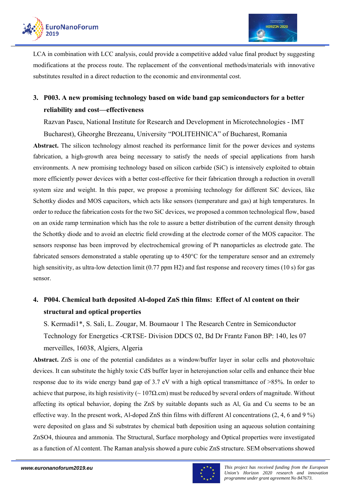

LCA in combination with LCC analysis, could provide a competitive added value final product by suggesting modifications at the process route. The replacement of the conventional methods/materials with innovative substitutes resulted in a direct reduction to the economic and environmental cost.

# **3. P003. A new promising technology based on wide band gap semiconductors for a better reliability and cost—effectiveness**

Razvan Pascu, National Institute for Research and Development in Microtechnologies - IMT Bucharest), Gheorghe Brezeanu, University "POLITEHNICA" of Bucharest, Romania

**Abstract.** The silicon technology almost reached its performance limit for the power devices and systems fabrication, a high-growth area being necessary to satisfy the needs of special applications from harsh environments. A new promising technology based on silicon carbide (SiC) is intensively exploited to obtain more efficiently power devices with a better cost-effective for their fabrication through a reduction in overall system size and weight. In this paper, we propose a promising technology for different SiC devices, like Schottky diodes and MOS capacitors, which acts like sensors (temperature and gas) at high temperatures. In order to reduce the fabrication costs for the two SiC devices, we proposed a common technological flow, based on an oxide ramp termination which has the role to assure a better distribution of the current density through the Schottky diode and to avoid an electric field crowding at the electrode corner of the MOS capacitor. The sensors response has been improved by electrochemical growing of Pt nanoparticles as electrode gate. The fabricated sensors demonstrated a stable operating up to 450°C for the temperature sensor and an extremely high sensitivity, as ultra-low detection limit (0.77 ppm H2) and fast response and recovery times (10 s) for gas sensor.

# **4. P004. Chemical bath deposited Al-doped ZnS thin films: Effect of Al content on their structural and optical properties**

S. Kermadi1\*, S. Sali, L. Zougar, M. Boumaour 1 The Research Centre in Semiconductor Technology for Energetics -CRTSE- Division DDCS 02, Bd Dr Frantz Fanon BP: 140, les 07 merveilles, 16038, Algiers, Algeria

**Abstract.** ZnS is one of the potential candidates as a window/buffer layer in solar cells and photovoltaic devices. It can substitute the highly toxic CdS buffer layer in heterojunction solar cells and enhance their blue response due to its wide energy band gap of 3.7 eV with a high optical transmittance of >85%. In order to achieve that purpose, its high resistivity ( $\sim 107\Omega$ .cm) must be reduced by several orders of magnitude. Without affecting its optical behavior, doping the ZnS by suitable dopants such as Al, Ga and Cu seems to be an effective way. In the present work, Al-doped ZnS thin films with different Al concentrations  $(2, 4, 6 \text{ and } 9\%)$ were deposited on glass and Si substrates by chemical bath deposition using an aqueous solution containing ZnSO4, thiourea and ammonia. The Structural, Surface morphology and Optical properties were investigated as a function of Al content. The Raman analysis showed a pure cubic ZnS structure. SEM observations showed

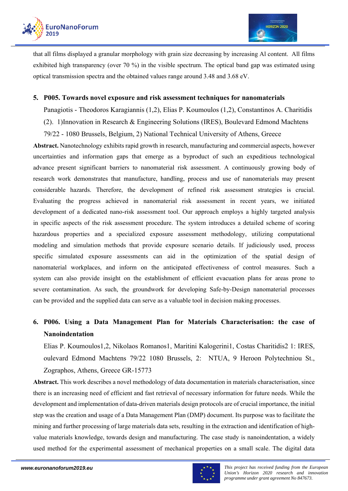

that all films displayed a granular morphology with grain size decreasing by increasing Al content. All films exhibited high transparency (over 70 %) in the visible spectrum. The optical band gap was estimated using optical transmission spectra and the obtained values range around 3.48 and 3.68 eV.

### **5. P005. Towards novel exposure and risk assessment techniques for nanomaterials**

Panagiotis - Theodoros Karagiannis (1,2), Elias P. Koumoulos (1,2), Constantinos A. Charitidis

- (2). 1)Innovation in Research & Engineering Solutions (IRES), Boulevard Edmond Machtens
- 79/22 1080 Brussels, Belgium, 2) National Technical University of Athens, Greece

**Abstract.** Nanotechnology exhibits rapid growth in research, manufacturing and commercial aspects, however uncertainties and information gaps that emerge as a byproduct of such an expeditious technological advance present significant barriers to nanomaterial risk assessment. A continuously growing body of research work demonstrates that manufacture, handling, process and use of nanomaterials may present considerable hazards. Therefore, the development of refined risk assessment strategies is crucial. Evaluating the progress achieved in nanomaterial risk assessment in recent years, we initiated development of a dedicated nano-risk assessment tool. Our approach employs a highly targeted analysis in specific aspects of the risk assessment procedure. The system introduces a detailed scheme of scoring hazardous properties and a specialized exposure assessment methodology, utilizing computational modeling and simulation methods that provide exposure scenario details. If judiciously used, process specific simulated exposure assessments can aid in the optimization of the spatial design of nanomaterial workplaces, and inform on the anticipated effectiveness of control measures. Such a system can also provide insight on the establishment of efficient evacuation plans for areas prone to severe contamination. As such, the groundwork for developing Safe-by-Design nanomaterial processes can be provided and the supplied data can serve as a valuable tool in decision making processes.

# **6. P006. Using a Data Management Plan for Materials Characterisation: the case of Nanoindentation**

Elias P. Koumoulos1,2, Nikolaos Romanos1, Maritini Kalogerini1, Costas Charitidis2 1: IRES, oulevard Edmond Machtens 79/22 1080 Brussels, 2: NTUA, 9 Heroon Polytechniou St., Zographos, Athens, Greece GR-15773

**Abstract.** This work describes a novel methodology of data documentation in materials characterisation, since there is an increasing need of efficient and fast retrieval of necessary information for future needs. While the development and implementation of data-driven materials design protocols are of crucial importance, the initial step was the creation and usage of a Data Management Plan (DMP) document. Its purpose was to facilitate the mining and further processing of large materials data sets, resulting in the extraction and identification of highvalue materials knowledge, towards design and manufacturing. The case study is nanoindentation, a widely used method for the experimental assessment of mechanical properties on a small scale. The digital data

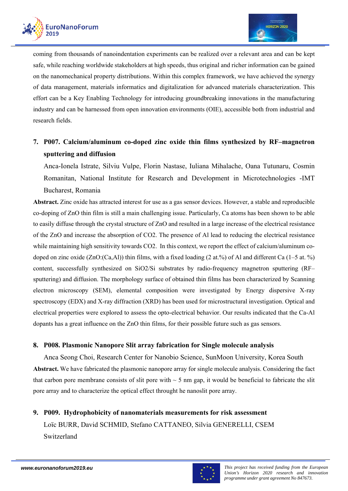

coming from thousands of nanoindentation experiments can be realized over a relevant area and can be kept safe, while reaching worldwide stakeholders at high speeds, thus original and richer information can be gained on the nanomechanical property distributions. Within this complex framework, we have achieved the synergy of data management, materials informatics and digitalization for advanced materials characterization. This effort can be a Key Enabling Technology for introducing groundbreaking innovations in the manufacturing industry and can be harnessed from open innovation environments (OIE), accessible both from industrial and research fields.

# **7. P007. Calcium/aluminum co-doped zinc oxide thin films synthesized by RF–magnetron sputtering and diffusion**

Anca-Ionela Istrate, Silviu Vulpe, Florin Nastase, Iuliana Mihalache, Oana Tutunaru, Cosmin Romanitan, National Institute for Research and Development in Microtechnologies -IMT Bucharest, Romania

**Abstract.** Zinc oxide has attracted interest for use as a gas sensor devices. However, a stable and reproducible co-doping of ZnO thin film is still a main challenging issue. Particularly, Ca atoms has been shown to be able to easily diffuse through the crystal structure of ZnO and resulted in a large increase of the electrical resistance of the ZnO and increase the absorption of CO2. The presence of Al lead to reducing the electrical resistance while maintaining high sensitivity towards CO2. In this context, we report the effect of calcium/aluminum codoped on zinc oxide (ZnO:(Ca,Al)) thin films, with a fixed loading (2 at.%) of Al and different Ca (1–5 at. %) content, successfully synthesized on SiO2/Si substrates by radio-frequency magnetron sputtering (RF– sputtering) and diffusion. The morphology surface of obtained thin films has been characterized by Scanning electron microscopy (SEM), elemental composition were investigated by Energy dispersive X-ray spectroscopy (EDX) and X-ray diffraction (XRD) has been used for microstructural investigation. Optical and electrical properties were explored to assess the opto-electrical behavior. Our results indicated that the Ca-Al dopants has a great influence on the ZnO thin films, for their possible future such as gas sensors.

### **8. P008. Plasmonic Nanopore Slit array fabrication for Single molecule analysis**

Anca Seong Choi, Research Center for Nanobio Science, SunMoon University, Korea South **Abstract.** We have fabricated the plasmonic nanopore array for single molecule analysis. Considering the fact that carbon pore membrane consists of slit pore with  $\sim$  5 nm gap, it would be beneficial to fabricate the slit pore array and to characterize the optical effect throught he nanoslit pore array.

# **9. P009. Hydrophobicity of nanomaterials measurements for risk assessment**  Loïc BURR, David SCHMID, Stefano CATTANEO, Silvia GENERELLI, CSEM Switzerland

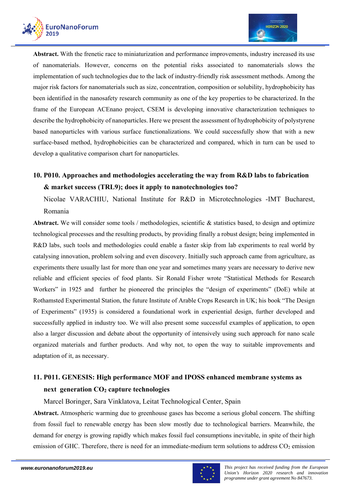

**Abstract.** With the frenetic race to miniaturization and performance improvements, industry increased its use of nanomaterials. However, concerns on the potential risks associated to nanomaterials slows the implementation of such technologies due to the lack of industry-friendly risk assessment methods. Among the major risk factors for nanomaterials such as size, concentration, composition or solubility, hydrophobicity has been identified in the nanosafety research community as one of the key properties to be characterized. In the frame of the European ACEnano project, CSEM is developing innovative characterization techniques to describe the hydrophobicity of nanoparticles. Here we present the assessment of hydrophobicity of polystyrene based nanoparticles with various surface functionalizations. We could successfully show that with a new surface-based method, hydrophobicities can be characterized and compared, which in turn can be used to develop a qualitative comparison chart for nanoparticles.

# **10. P010. Approaches and methodologies accelerating the way from R&D labs to fabrication & market success (TRL9); does it apply to nanotechnologies too?**

Nicolae VARACHIU, National Institute for R&D in Microtechnologies -IMT Bucharest, Romania

Abstract. We will consider some tools / methodologies, scientific & statistics based, to design and optimize technological processes and the resulting products, by providing finally a robust design; being implemented in R&D labs, such tools and methodologies could enable a faster skip from lab experiments to real world by catalysing innovation, problem solving and even discovery. Initially such approach came from agriculture, as experiments there usually last for more than one year and sometimes many years are necessary to derive new reliable and efficient species of food plants. Sir Ronald Fisher wrote "Statistical Methods for Research Workers" in 1925 and further he pioneered the principles the "design of experiments" (DoE) while at Rothamsted Experimental Station, the future Institute of Arable Crops Research in UK; his book "The Design of Experiments" (1935) is considered a foundational work in experiential design, further developed and successfully applied in industry too. We will also present some successful examples of application, to open also a larger discussion and debate about the opportunity of intensively using such approach for nano scale organized materials and further products. And why not, to open the way to suitable improvements and adaptation of it, as necessary.

# **11. P011. GENESIS: High performance MOF and IPOSS enhanced membrane systems as next generation CO2 capture technologies**

Marcel Boringer, Sara Vinklatova, Leitat Technological Center, Spain

**Abstract.** Atmospheric warming due to greenhouse gases has become a serious global concern. The shifting from fossil fuel to renewable energy has been slow mostly due to technological barriers. Meanwhile, the demand for energy is growing rapidly which makes fossil fuel consumptions inevitable, in spite of their high emission of GHC. Therefore, there is need for an immediate-medium term solutions to address  $CO<sub>2</sub>$  emission

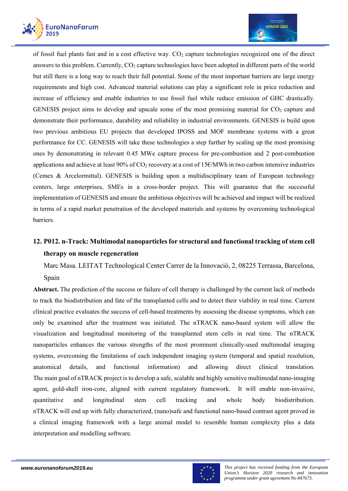



of fossil fuel plants fast and in a cost effective way.  $CO<sub>2</sub>$  capture technologies recognized one of the direct answers to this problem. Currently, CO<sub>2</sub> capture technologies have been adopted in different parts of the world but still there is a long way to reach their full potential. Some of the most important barriers are large energy requirements and high cost. Advanced material solutions can play a significant role in price reduction and increase of efficiency and enable industries to use fossil fuel while reduce emission of GHC drastically. GENESIS project aims to develop and upscale some of the most promising material for  $CO<sub>2</sub>$  capture and demonstrate their performance, durability and reliability in industrial environments. GENESIS is build upon two previous ambitious EU projects that developed IPOSS and MOF membrane systems with a great performance for CC. GENESIS will take these technologies a step further by scaling up the most promising ones by demonstrating in relevant 0.45 MWe capture process for pre-combustion and 2 post-combustion applications and achieve at least  $90\%$  of CO<sub>2</sub> recovery at a cost of 15 $\epsilon$ /MWh in two carbon intensive industries (Cemex & Arcelormittal). GENESIS is building upon a multidisciplinary team of European technology centers, large enterprises, SMEs in a cross-border project. This will guarantee that the successful implementation of GENESIS and ensure the ambitious objectives will be achieved and impact will be realized in terms of a rapid market penetration of the developed materials and systems by overcoming technological barriers.

# **12. P012. n-Track: Multimodal nanoparticles for structural and functional tracking of stem cell therapy on muscle regeneration**

Marc Masa. LEITAT Technological Center Carrer de la Innovació, 2, 08225 Terrassa, Barcelona, Spain

**Abstract.** The prediction of the success or failure of cell therapy is challenged by the current lack of methods to track the biodistribution and fate of the transplanted cells and to detect their viability in real time. Current clinical practice evaluates the success of cell-based treatments by assessing the disease symptoms, which can only be examined after the treatment was initiated. The nTRACK nano-based system will allow the visualization and longitudinal monitoring of the transplanted stem cells in real time. The nTRACK nanoparticles enhances the various strengths of the most prominent clinically-used multimodal imaging systems, overcoming the limitations of each independent imaging system (temporal and spatial resolution, anatomical details, and functional information) and allowing direct clinical translation. The main goal of nTRACK project is to develop a safe, scalable and highly sensitive multimodal nano-imaging agent, gold-shell iron-core, aligned with current regulatory framework. It will enable non-invasive, quantitative and longitudinal stem cell tracking and whole body biodistribution. nTRACK will end up with fully characterized, (nano)safe and functional nano-based contrast agent proved in a clinical imaging framework with a large animal model to resemble human complexity plus a data interpretation and modelling software.

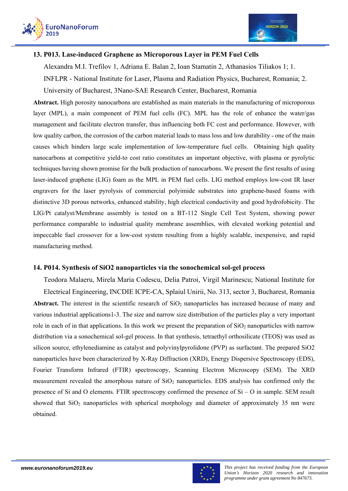



### **13. P013. Lase-induced Graphene as Microporous Layer in PEM Fuel Cells**

Alexandra M.I. Trefilov 1, Adriana E. Balan 2, Ioan Stamatin 2, Athanasios Tiliakos 1; 1.

INFLPR - National Institute for Laser, Plasma and Radiation Physics, Bucharest, Romania; 2.

University of Bucharest, 3Nano-SAE Research Center, Bucharest, Romania

**Abstract.** High porosity nanocarbons are established as main materials in the manufacturing of microporous layer (MPL), a main component of PEM fuel cells (FC). MPL has the role of enhance the water/gas management and facilitate electron transfer, thus influencing both FC cost and performance. However, with low quality carbon, the corrosion of the carbon material leads to mass loss and low durability - one of the main causes which hinders large scale implementation of low-temperature fuel cells. Obtaining high quality nanocarbons at competitive yield-to cost ratio constitutes an important objective, with plasma or pyrolytic techniques having shown promise for the bulk production of nanocarbons. We present the first results of using laser-induced graphene (LIG) foam as the MPL in PEM fuel cells. LIG method employs low-cost IR laser engravers for the laser pyrolysis of commercial polyimide substrates into graphene-based foams with distinctive 3D porous networks, enhanced stability, high electrical conductivity and good hydrofobicity. The LIG/Pt catalyst/Membrane assembly is tested on a BT-112 Single Cell Test System, showing power performance comparable to industrial quality membrane assemblies, with elevated working potential and impeccable fuel crossover for a low-cost system resulting from a highly scalable, inexpensive, and rapid manufacturing method.

### **14. P014. Synthesis of SiO2 nanoparticles via the sonochemical sol-gel process**

Teodora Malaeru, Mirela Maria Codescu, Delia Patroi, Virgil Marinescu; National Institute for Electrical Engineering, INCDIE ICPE-CA, Splaiul Unirii, No. 313, sector 3, Bucharest, Romania Abstract. The interest in the scientific research of SiO<sub>2</sub> nanoparticles has increased because of many and various industrial applications1-3. The size and narrow size distribution of the particles play a very important role in each of in that applications. In this work we present the preparation of  $SiO<sub>2</sub>$  nanoparticles with narrow distribution via a sonochemical sol-gel process. In that synthesis, tetraethyl orthosilicate (TEOS) was used as silicon source, ethylenediamine as catalyst and polyvinylpyrolidone (PVP) as surfactant. The prepared SiO2 nanoparticles have been characterized by X-Ray Diffraction (XRD), Energy Dispersive Spectroscopy (EDS), Fourier Transform Infrared (FTIR) spectroscopy, Scanning Electron Microscopy (SEM). The XRD measurement revealed the amorphous nature of  $SiO<sub>2</sub>$  nanoparticles. EDS analysis has confirmed only the presence of Si and O elements. FTIR spectroscopy confirmed the presence of Si – O in sample. SEM result showed that SiO<sub>2</sub> nanoparticles with spherical morphology and diameter of approximately 35 nm were obtained.

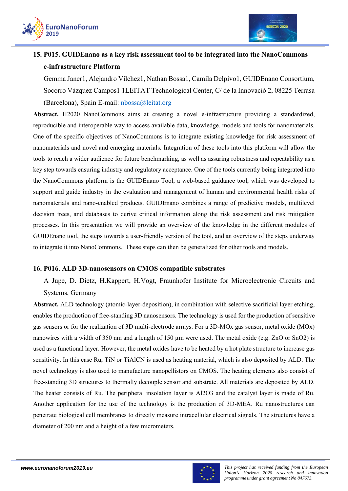



# **15. P015. GUIDEnano as a key risk assessment tool to be integrated into the NanoCommons e-infrastructure Platform**

Gemma Janer1, Alejandro Vilchez1, Nathan Bossa1, Camila Delpivo1, GUIDEnano Consortium, Socorro Vázquez Campos1 1LEITAT Technological Center, C/ de la Innovació 2, 08225 Terrasa (Barcelona), Spain E-mail: nbossa@leitat.org

**Abstract.** H2020 NanoCommons aims at creating a novel e-infrastructure providing a standardized, reproducible and interoperable way to access available data, knowledge, models and tools for nanomaterials. One of the specific objectives of NanoCommons is to integrate existing knowledge for risk assessment of nanomaterials and novel and emerging materials. Integration of these tools into this platform will allow the tools to reach a wider audience for future benchmarking, as well as assuring robustness and repeatability as a key step towards ensuring industry and regulatory acceptance. One of the tools currently being integrated into the NanoCommons platform is the GUIDEnano Tool, a web-based guidance tool, which was developed to support and guide industry in the evaluation and management of human and environmental health risks of nanomaterials and nano-enabled products. GUIDEnano combines a range of predictive models, multilevel decision trees, and databases to derive critical information along the risk assessment and risk mitigation processes. In this presentation we will provide an overview of the knowledge in the different modules of GUIDEnano tool, the steps towards a user-friendly version of the tool, and an overview of the steps underway to integrate it into NanoCommons. These steps can then be generalized for other tools and models.

### **16. P016. ALD 3D-nanosensors on CMOS compatible substrates**

A Jupe, D. Dietz, H.Kappert, H.Vogt, Fraunhofer Institute for Microelectronic Circuits and Systems, Germany

**Abstract.** ALD technology (atomic-layer-deposition), in combination with selective sacrificial layer etching, enables the production of free-standing 3D nanosensors. The technology is used for the production of sensitive gas sensors or for the realization of 3D multi-electrode arrays. For a 3D-MOx gas sensor, metal oxide (MOx) nanowires with a width of 350 nm and a length of 150 µm were used. The metal oxide (e.g. ZnO or SnO2) is used as a functional layer. However, the metal oxides have to be heated by a hot plate structure to increase gas sensitivity. In this case Ru, TiN or TiAlCN is used as heating material, which is also deposited by ALD. The novel technology is also used to manufacture nanopellistors on CMOS. The heating elements also consist of free-standing 3D structures to thermally decouple sensor and substrate. All materials are deposited by ALD. The heater consists of Ru. The peripheral insolation layer is Al2O3 and the catalyst layer is made of Ru. Another application for the use of the technology is the production of 3D-MEA. Ru nanostructures can penetrate biological cell membranes to directly measure intracellular electrical signals. The structures have a diameter of 200 nm and a height of a few micrometers.

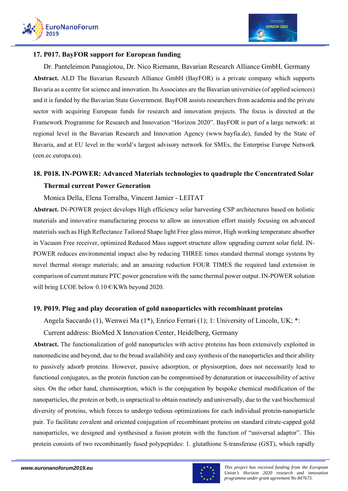



#### **17. P017. BayFOR support for European funding**

Dr. Panteleimon Panagiotou, Dr. Nico Riemann, Bavarian Research Alliance GmbH, Germany **Abstract.** ALD The Bavarian Research Alliance GmbH (BayFOR) is a private company which supports Bavaria as a centre for science and innovation. Its Associates are the Bavarian universities (of applied sciences) and it is funded by the Bavarian State Government. BayFOR assists researchers from academia and the private sector with acquiring European funds for research and innovation projects. The focus is directed at the Framework Programme for Research and Innovation "Horizon 2020". BayFOR is part of a large network: at regional level in the Bavarian Research and Innovation Agency (www.bayfia.de), funded by the State of Bavaria, and at EU level in the world's largest advisory network for SMEs, the Enterprise Europe Network (een.ec.europa.eu).

# **18. P018. IN-POWER: Advanced Materials technologies to quadruple the Concentrated Solar Thermal current Power Generation**

Monica Della, Elena Torralba, Vincent Jamier - LEITAT

**Abstract.** IN-POWER project develops High efficiency solar harvesting CSP architectures based on holistic materials and innovative manufacturing process to allow an innovation effort mainly focusing on advanced materials such as High Reflectance Tailored Shape light Free glass mirror, High working temperature absorber in Vacuum Free receiver, optimized Reduced Mass support structure allow upgrading current solar field. IN-POWER reduces environmental impact also by reducing THREE times standard thermal storage systems by novel thermal storage materials; and an amazing reduction FOUR TIMES the required land extension in comparison of current mature PTC power generation with the same thermal power output. IN-POWER solution will bring LCOE below 0.10 €/KWh beyond 2020.

### **19. P019. Plug and play decoration of gold nanoparticles with recombinant proteins**

Angela Saccardo (1), Wenwei Ma (1\*), Enrico Ferrari (1); 1: University of Lincoln, UK; \*:

### Current address: BioMed X Innovation Center, Heidelberg, Germany

**Abstract.** The functionalization of gold nanoparticles with active proteins has been extensively exploited in nanomedicine and beyond, due to the broad availability and easy synthesis of the nanoparticles and their ability to passively adsorb proteins. However, passive adsorption, or physisorption, does not necessarily lead to functional conjugates, as the protein function can be compromised by denaturation or inaccessibility of active sites. On the other hand, chemisorption, which is the conjugation by bespoke chemical modification of the nanoparticles, the protein or both, is unpractical to obtain routinely and universally, due to the vast biochemical diversity of proteins, which forces to undergo tedious optimizations for each individual protein-nanoparticle pair. To facilitate covalent and oriented conjugation of recombinant proteins on standard citrate-capped gold nanoparticles, we designed and synthesised a fusion protein with the function of "universal adaptor". This protein consists of two recombinantly fused polypeptides: 1. glutathione S-transferase (GST), which rapidly

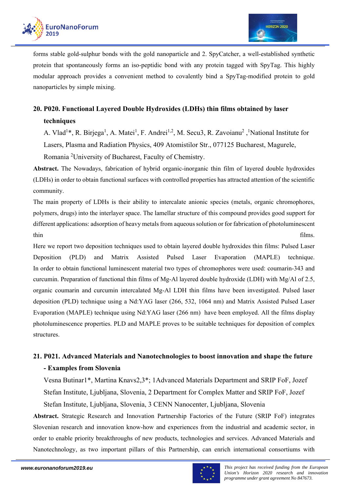

forms stable gold-sulphur bonds with the gold nanoparticle and 2. SpyCatcher, a well-established synthetic protein that spontaneously forms an iso-peptidic bond with any protein tagged with SpyTag. This highly modular approach provides a convenient method to covalently bind a SpyTag-modified protein to gold nanoparticles by simple mixing.

# **20. P020. Functional Layered Double Hydroxides (LDHs) thin films obtained by laser techniques**

A. Vlad<sup>1\*</sup>, R. Birjega<sup>1</sup>, A. Matei<sup>1</sup>, F. Andrei<sup>1,2</sup>, M. Secu3, R. Zavoianu<sup>2</sup>, <sup>1</sup>National Institute for Lasers, Plasma and Radiation Physics, 409 Atomistilor Str., 077125 Bucharest, Magurele, Romania <sup>2</sup>University of Bucharest, Faculty of Chemistry.

**Abstract.** The Nowadays, fabrication of hybrid organic-inorganic thin film of layered double hydroxides (LDHs) in order to obtain functional surfaces with controlled properties has attracted attention of the scientific community.

The main property of LDHs is their ability to intercalate anionic species (metals, organic chromophores, polymers, drugs) into the interlayer space. The lamellar structure of this compound provides good support for different applications: adsorption of heavy metals from aqueous solution or for fabrication of photoluminescent thin films.

Here we report two deposition techniques used to obtain layered double hydroxides thin films: Pulsed Laser Deposition (PLD) and Matrix Assisted Pulsed Laser Evaporation (MAPLE) technique. In order to obtain functional luminescent material two types of chromophores were used: coumarin-343 and curcumin. Preparation of functional thin films of Mg-Al layered double hydroxide (LDH) with Mg/Al of 2.5, organic coumarin and curcumin intercalated Mg-Al LDH thin films have been investigated. Pulsed laser deposition (PLD) technique using a Nd:YAG laser (266, 532, 1064 nm) and Matrix Assisted Pulsed Laser Evaporation (MAPLE) technique using Nd:YAG laser (266 nm) have been employed. All the films display photoluminescence properties. PLD and MAPLE proves to be suitable techniques for deposition of complex structures.

# **21. P021. Advanced Materials and Nanotechnologies to boost innovation and shape the future - Examples from Slovenia**

Vesna Butinar1\*, Martina Knavs2,3\*; 1Advanced Materials Department and SRIP FoF, Jozef Stefan Institute, Ljubljana, Slovenia, 2 Department for Complex Matter and SRIP FoF, Jozef Stefan Institute, Ljubljana, Slovenia, 3 CENN Nanocenter, Ljubljana, Slovenia

**Abstract.** Strategic Research and Innovation Partnership Factories of the Future (SRIP FoF) integrates Slovenian research and innovation know-how and experiences from the industrial and academic sector, in order to enable priority breakthroughs of new products, technologies and services. Advanced Materials and Nanotechnology, as two important pillars of this Partnership, can enrich international consortiums with

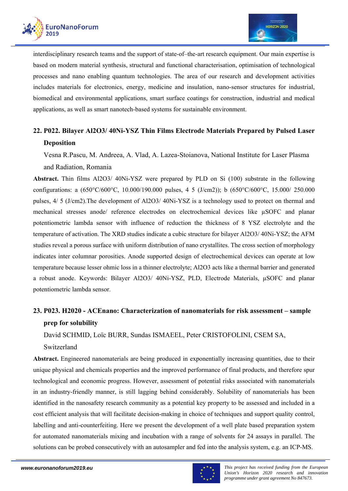

interdisciplinary research teams and the support of state-of–the-art research equipment. Our main expertise is based on modern material synthesis, structural and functional characterisation, optimisation of technological processes and nano enabling quantum technologies. The area of our research and development activities includes materials for electronics, energy, medicine and insulation, nano-sensor structures for industrial, biomedical and environmental applications, smart surface coatings for construction, industrial and medical applications, as well as smart nanotech-based systems for sustainable environment.

# **22. P022. Bilayer Al2O3/ 40Ni-YSZ Thin Films Electrode Materials Prepared by Pulsed Laser Deposition**

Vesna R.Pascu, M. Andreea, A. Vlad, A. Lazea-Stoianova, National Institute for Laser Plasma and Radiation, Romania

**Abstract.** Thin films Al2O3/ 40Ni-YSZ were prepared by PLD on Si (100) substrate in the following configurations: a (650°C/600°C, 10.000/190.000 pulses, 4 5 (J/cm2)); b (650°C/600°C, 15.000/ 250.000 pulses, 4/ 5 (J/cm2).The development of Al2O3/ 40Ni-YSZ is a technology used to protect on thermal and mechanical stresses anode/ reference electrodes on electrochemical devices like µSOFC and planar potentiometric lambda sensor with influence of reduction the thickness of 8 YSZ electrolyte and the temperature of activation. The XRD studies indicate a cubic structure for bilayer Al2O3/ 40Ni-YSZ; the AFM studies reveal a porous surface with uniform distribution of nano crystallites. The cross section of morphology indicates inter columnar porosities. Anode supported design of electrochemical devices can operate at low temperature because lesser ohmic loss in a thinner electrolyte; Al2O3 acts like a thermal barrier and generated a robust anode. Keywords: Bilayer Al2O3/ 40Ni-YSZ, PLD, Electrode Materials, µSOFC and planar potentiometric lambda sensor.

# **23. P023. H2020 - ACEnano: Characterization of nanomaterials for risk assessment – sample prep for solubility**

David SCHMID, Loïc BURR, Sundas ISMAEEL, Peter CRISTOFOLINI, CSEM SA,

Switzerland

**Abstract.** Engineered nanomaterials are being produced in exponentially increasing quantities, due to their unique physical and chemicals properties and the improved performance of final products, and therefore spur technological and economic progress. However, assessment of potential risks associated with nanomaterials in an industry-friendly manner, is still lagging behind considerably. Solubility of nanomaterials has been identified in the nanosafety research community as a potential key property to be assessed and included in a cost efficient analysis that will facilitate decision-making in choice of techniques and support quality control, labelling and anti-counterfeiting. Here we present the development of a well plate based preparation system for automated nanomaterials mixing and incubation with a range of solvents for 24 assays in parallel. The solutions can be probed consecutively with an autosampler and fed into the analysis system, e.g. an ICP-MS.

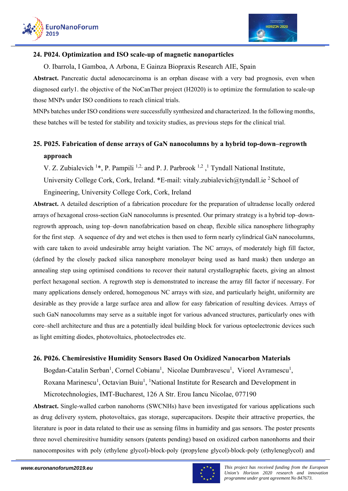



### **24. P024. Optimization and ISO scale-up of magnetic nanoparticles**

O. Ibarrola, I Gamboa, A Arbona, E Gainza Biopraxis Research AIE, Spain

**Abstract.** Pancreatic ductal adenocarcinoma is an orphan disease with a very bad prognosis, even when diagnosed early1. the objective of the NoCanTher project (H2020) is to optimize the formulation to scale-up those MNPs under ISO conditions to reach clinical trials.

MNPs batches under ISO conditions were successfully synthesized and characterized. In the following months, these batches will be tested for stability and toxicity studies, as previous steps for the clinical trial.

# **25. P025. Fabrication of dense arrays of GaN nanocolumns by a hybrid top-down–regrowth approach**

V. Z. Zubialevich  $1*$ , P. Pampili  $1,2$  and P. J. Parbrook  $1,2,1$  Tyndall National Institute,

University College Cork, Cork, Ireland. \*E-mail: vitaly.zubialevich@tyndall.ie <sup>2</sup> School of

Engineering, University College Cork, Cork, Ireland

**Abstract.** A detailed description of a fabrication procedure for the preparation of ultradense locally ordered arrays of hexagonal cross-section GaN nanocolumns is presented. Our primary strategy is a hybrid top–downregrowth approach, using top–down nanofabrication based on cheap, flexible silica nanosphere lithography for the first step. A sequence of dry and wet etches is then used to form nearly cylindrical GaN nanocolumns, with care taken to avoid undesirable array height variation. The NC arrays, of moderately high fill factor, (defined by the closely packed silica nanosphere monolayer being used as hard mask) then undergo an annealing step using optimised conditions to recover their natural crystallographic facets, giving an almost perfect hexagonal section. A regrowth step is demonstrated to increase the array fill factor if necessary. For many applications densely ordered, homogenous NC arrays with size, and particularly height, uniformity are desirable as they provide a large surface area and allow for easy fabrication of resulting devices. Arrays of such GaN nanocolumns may serve as a suitable ingot for various advanced structures, particularly ones with core–shell architecture and thus are a potentially ideal building block for various optoelectronic devices such as light emitting diodes, photovoltaics, photoelectrodes etc.

### **26. P026. Chemiresistive Humidity Sensors Based On Oxidized Nanocarbon Materials**

Bogdan-Catalin Serban<sup>1</sup>, Cornel Cobianu<sup>1</sup>, Nicolae Dumbravescu<sup>1</sup>, Viorel Avramescu<sup>1</sup>,

Roxana Marinescu<sup>1</sup>, Octavian Buiu<sup>1</sup>, <sup>1</sup>National Institute for Research and Development in

Microtechnologies, IMT-Bucharest, 126 A Str. Erou Iancu Nicolae, 077190

**Abstract.** Single-walled carbon nanohorns (SWCNHs) have been investigated for various applications such as drug delivery system, photovoltaics, gas storage, supercapacitors. Despite their attractive properties, the literature is poor in data related to their use as sensing films in humidity and gas sensors. The poster presents three novel chemiresitive humidity sensors (patents pending) based on oxidized carbon nanonhorns and their nanocomposites with poly (ethylene glycol)-block-poly (propylene glycol)-block-poly (ethyleneglycol) and

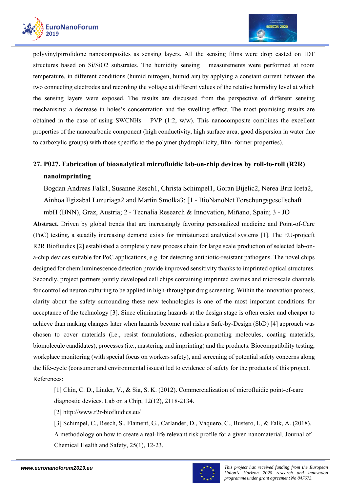



polyvinylpirrolidone nanocomposites as sensing layers. All the sensing films were drop casted on IDT structures based on Si/SiO2 substrates. The humidity sensing measurements were performed at room temperature, in different conditions (humid nitrogen, humid air) by applying a constant current between the two connecting electrodes and recording the voltage at different values of the relative humidity level at which the sensing layers were exposed. The results are discussed from the perspective of different sensing mechanisms: a decrease in holes's concentration and the swelling effect. The most promising results are obtained in the case of using SWCNHs – PVP (1:2, w/w). This nanocomposite combines the excellent properties of the nanocarbonic component (high conductivity, high surface area, good dispersion in water due to carboxylic groups) with those specific to the polymer (hydrophilicity, film- former properties).

# **27. P027. Fabrication of bioanalytical microfluidic lab-on-chip devices by roll-to-roll (R2R) nanoimprinting**

Bogdan Andreas Falk1, Susanne Resch1, Christa Schimpel1, Goran Bijelic2, Nerea Briz Iceta2, Ainhoa Egizabal Luzuriaga2 and Martin Smolka3; [1 - BioNanoNet Forschungsgesellschaft mbH (BNN), Graz, Austria; 2 - Tecnalia Research & Innovation, Miñano, Spain; 3 - JO

**Abstract.** Driven by global trends that are increasingly favoring personalized medicine and Point-of-Care (PoC) testing, a steadily increasing demand exists for miniaturized analytical systems [1]. The EU-projecft R2R Biofluidics [2] established a completely new process chain for large scale production of selected lab-ona-chip devices suitable for PoC applications, e.g. for detecting antibiotic-resistant pathogens. The novel chips designed for chemiluminescence detection provide improved sensitivity thanks to imprinted optical structures. Secondly, project partners jointly developed cell chips containing imprinted cavities and microscale channels for controlled neuron culturing to be applied in high-throughput drug screening. Within the innovation process, clarity about the safety surrounding these new technologies is one of the most important conditions for acceptance of the technology [3]. Since eliminating hazards at the design stage is often easier and cheaper to achieve than making changes later when hazards become real risks a Safe-by-Design (SbD) [4] approach was chosen to cover materials (i.e., resist formulations, adhesion-promoting molecules, coating materials, biomolecule candidates), processes (i.e., mastering und imprinting) and the products. Biocompatibility testing, workplace monitoring (with special focus on workers safety), and screening of potential safety concerns along the life-cycle (consumer and environmental issues) led to evidence of safety for the products of this project. References:

[1] Chin, C. D., Linder, V., & Sia, S. K. (2012). Commercialization of microfluidic point-of-care diagnostic devices. Lab on a Chip, 12(12), 2118-2134.

[2] http://www.r2r-biofluidics.eu/

[3] Schimpel, C., Resch, S., Flament, G., Carlander, D., Vaquero, C., Bustero, I., & Falk, A. (2018). A methodology on how to create a real-life relevant risk profile for a given nanomaterial. Journal of Chemical Health and Safety, 25(1), 12-23.

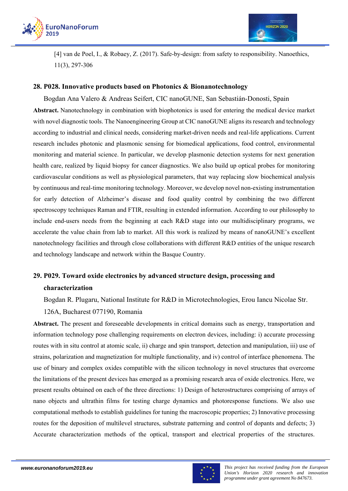



[4] van de Poel, I., & Robaey, Z. (2017). Safe-by-design: from safety to responsibility. Nanoethics, 11(3), 297-306

### **28. P028. Innovative products based on Photonics & Bionanotechnology**

Bogdan Ana Valero & Andreas Seifert, CIC nanoGUNE, San Sebastián-Donosti, Spain **Abstract.** Nanotechnology in combination with biophotonics is used for entering the medical device market with novel diagnostic tools. The Nanoengineering Group at CIC nanoGUNE aligns its research and technology according to industrial and clinical needs, considering market-driven needs and real-life applications. Current research includes photonic and plasmonic sensing for biomedical applications, food control, environmental monitoring and material science. In particular, we develop plasmonic detection systems for next generation health care, realized by liquid biopsy for cancer diagnostics. We also build up optical probes for monitoring cardiovascular conditions as well as physiological parameters, that way replacing slow biochemical analysis by continuous and real-time monitoring technology. Moreover, we develop novel non-existing instrumentation for early detection of Alzheimer's disease and food quality control by combining the two different spectroscopy techniques Raman and FTIR, resulting in extended information. According to our philosophy to include end-users needs from the beginning at each R&D stage into our multidisciplinary programs, we accelerate the value chain from lab to market. All this work is realized by means of nanoGUNE's excellent nanotechnology facilities and through close collaborations with different R&D entities of the unique research and technology landscape and network within the Basque Country.

### **29. P029. Toward oxide electronics by advanced structure design, processing and characterization**

Bogdan R. Plugaru, National Institute for R&D in Microtechnologies, Erou Iancu Nicolae Str.

### 126A, Bucharest 077190, Romania

**Abstract.** The present and foreseeable developments in critical domains such as energy, transportation and information technology pose challenging requirements on electron devices, including: i) accurate processing routes with in situ control at atomic scale, ii) charge and spin transport, detection and manipulation, iii) use of strains, polarization and magnetization for multiple functionality, and iv) control of interface phenomena. The use of binary and complex oxides compatible with the silicon technology in novel structures that overcome the limitations of the present devices has emerged as a promising research area of oxide electronics. Here, we present results obtained on each of the three directions: 1) Design of heterostructures comprising of arrays of nano objects and ultrathin films for testing charge dynamics and photoresponse functions. We also use computational methods to establish guidelines for tuning the macroscopic properties; 2) Innovative processing routes for the deposition of multilevel structures, substrate patterning and control of dopants and defects; 3) Accurate characterization methods of the optical, transport and electrical properties of the structures.

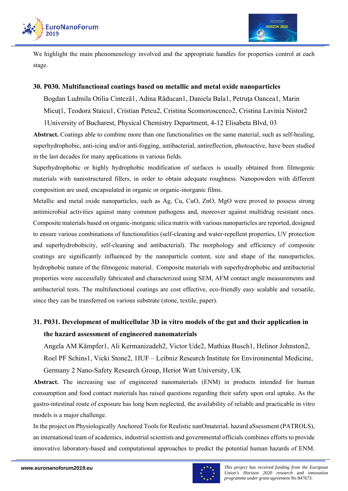

We highlight the main phenomenology involved and the appropriate handles for properties control at each stage.

### **30. P030. Multifunctional coatings based on metallic and metal oxide nanoparticles**

Bogdan Ludmila Otilia Cinteză1, Adina Răducan1, Daniela Bala1, Petruţa Oancea1, Marin Micuţ1, Teodora Staicu1, Cristian Petcu2, Cristina Scomoroscenco2, Cristina Lavinia Nistor2 1University of Bucharest, Physical Chemistry Department, 4-12 Elisabeta Blvd, 03

**Abstract.** Coatings able to combine more than one functionalities on the same material, such as self-healing, superhydrophobic, anti-icing and/or anti-fogging, antibacterial, antireflection, photoactive, have been studied in the last decades for many applications in various fields.

Superhydrophobic or highly hydrophobic modification of surfaces is usually obtained from filmogenic materials with nanostructured fillers, in order to obtain adequate roughness. Nanopowders with different composition are used, encapsulated in organic or organic-inorganic films.

Metallic and metal oxide nanoparticles, such as Ag, Cu, CuO, ZnO, MgO were proved to possess strong antimicrobial activities against many common pathogens and, moreover against multidrug resistant ones. Composite materials based on organic-inorganic silica matrix with various nanoparticles are reported, designed to ensure various combinations of functionalities (self-cleaning and water-repellent properties, UV protection and superhydrobobicity, self-cleaning and antibacterial). The morphology and efficiency of composite coatings are significantly influenced by the nanoparticle content, size and shape of the nanoparticles, hydrophobic nature of the filmogenic material. Composite materials with superhydrophobic and antibacterial properties were successfully fabricated and characterized using SEM, AFM contact angle measurements and antibacterial tests. The multifunctional coatings are cost effective, eco-friendly easy scalable and versatile, since they can be transferred on various substrate (stone, textile, paper).

# **31. P031. Development of multicellular 3D in vitro models of the gut and their application in the hazard assessment of engineered nanomaterials**

Angela AM Kämpfer1, Ali Kermanizadeh2, Victor Ude2, Mathias Busch1, Helinor Johnston2, Roel PF Schins1, Vicki Stone2, 1IUF – Leibniz Research Institute for Environmental Medicine, Germany 2 Nano-Safety Research Group, Heriot Watt University, UK

**Abstract.** The increasing use of engineered nanomaterials (ENM) in products intended for human consumption and food contact materials has raised questions regarding their safety upon oral uptake. As the gastro-intestinal route of exposure has long been neglected, the availability of reliable and practicable in vitro models is a major challenge.

In the project on Physiologically Anchored Tools for Realistic nanOmateriaL hazard aSsessment (PATROLS), an international team of academics, industrial scientists and governmental officials combines efforts to provide innovative laboratory-based and computational approaches to predict the potential human hazards of ENM.

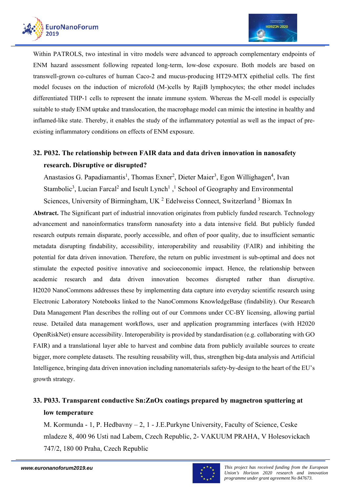

Within PATROLS, two intestinal in vitro models were advanced to approach complementary endpoints of ENM hazard assessment following repeated long-term, low-dose exposure. Both models are based on transwell-grown co-cultures of human Caco-2 and mucus-producing HT29-MTX epithelial cells. The first model focuses on the induction of microfold (M-)cells by RajiB lymphocytes; the other model includes differentiated THP-1 cells to represent the innate immune system. Whereas the M-cell model is especially suitable to study ENM uptake and translocation, the macrophage model can mimic the intestine in healthy and inflamed-like state. Thereby, it enables the study of the inflammatory potential as well as the impact of preexisting inflammatory conditions on effects of ENM exposure.

# **32. P032. The relationship between FAIR data and data driven innovation in nanosafety research. Disruptive or disrupted?**

Anastasios G. Papadiamantis<sup>1</sup>, Thomas Exner<sup>2</sup>, Dieter Maier<sup>3</sup>, Egon Willighagen<sup>4</sup>, Ivan Stambolic<sup>3</sup>, Lucian Farcal<sup>2</sup> and Iseult Lynch<sup>1</sup>,<sup>1</sup> School of Geography and Environmental Sciences, University of Birmingham, UK<sup>2</sup> Edelweiss Connect, Switzerland<sup>3</sup> Biomax In

**Abstract.** The Significant part of industrial innovation originates from publicly funded research. Technology advancement and nanoinformatics transform nanosafety into a data intensive field. But publicly funded research outputs remain disparate, poorly accessible, and often of poor quality, due to insufficient semantic metadata disrupting findability, accessibility, interoperability and reusability (FAIR) and inhibiting the potential for data driven innovation. Therefore, the return on public investment is sub-optimal and does not stimulate the expected positive innovative and socioeconomic impact. Hence, the relationship between academic research and data driven innovation becomes disrupted rather than disruptive. H2020 NanoCommons addresses these by implementing data capture into everyday scientific research using Electronic Laboratory Notebooks linked to the NanoCommons KnowledgeBase (findability). Our Research Data Management Plan describes the rolling out of our Commons under CC-BY licensing, allowing partial reuse. Detailed data management workflows, user and application programming interfaces (with H2020 OpenRiskNet) ensure accessibility. Interoperability is provided by standardisation (e.g. collaborating with GO FAIR) and a translational layer able to harvest and combine data from publicly available sources to create bigger, more complete datasets. The resulting reusability will, thus, strengthen big-data analysis and Artificial Intelligence, bringing data driven innovation including nanomaterials safety-by-design to the heart of the EU's growth strategy.

# **33. P033. Transparent conductive Sn:ZnOx coatings prepared by magnetron sputtering at low temperature**

M. Kormunda - 1, P. Hedbavny – 2, 1 - J.E.Purkyne University, Faculty of Science, Ceske mladeze 8, 400 96 Usti nad Labem, Czech Republic, 2- VAKUUM PRAHA, V Holesovickach 747/2, 180 00 Praha, Czech Republic

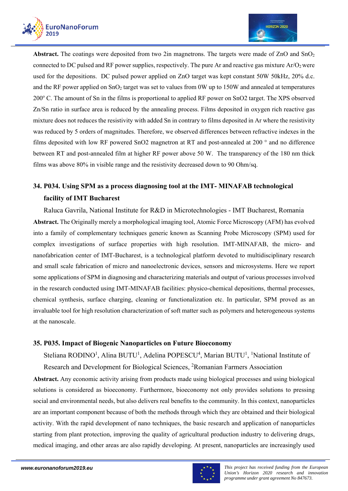



Abstract. The coatings were deposited from two 2in magnetrons. The targets were made of ZnO and SnO<sub>2</sub> connected to DC pulsed and RF power supplies, respectively. The pure Ar and reactive gas mixture  $Ar/O<sub>2</sub>$  were used for the depositions. DC pulsed power applied on ZnO target was kept constant 50W 50kHz, 20% d.c. and the RF power applied on  $SnO<sub>2</sub>$  target was set to values from 0W up to 150W and annealed at temperatures 200° C. The amount of Sn in the films is proportional to applied RF power on SnO2 target. The XPS observed Zn/Sn ratio in surface area is reduced by the annealing process. Films deposited in oxygen rich reactive gas mixture does not reduces the resistivity with added Sn in contrary to films deposited in Ar where the resistivity was reduced by 5 orders of magnitudes. Therefore, we observed differences between refractive indexes in the films deposited with low RF powered SnO2 magnetron at RT and post-annealed at 200 ° and no difference between RT and post-annealed film at higher RF power above 50 W. The transparency of the 180 nm thick films was above 80% in visible range and the resistivity decreased down to 90 Ohm/sq.

# **34. P034. Using SPM as a process diagnosing tool at the IMT- MINAFAB technological facility of IMT Bucharest**

Raluca Gavrila, National Institute for R&D in Microtechnologies - IMT Bucharest, Romania **Abstract.** The Originally merely a morphological imaging tool, Atomic Force Microscopy (AFM) has evolved into a family of complementary techniques generic known as Scanning Probe Microscopy (SPM) used for complex investigations of surface properties with high resolution. IMT-MINAFAB, the micro- and nanofabrication center of IMT-Bucharest, is a technological platform devoted to multidisciplinary research and small scale fabrication of micro and nanoelectronic devices, sensors and microsystems. Here we report some applications of SPM in diagnosing and characterizing materials and output of various processes involved in the research conducted using IMT-MINAFAB facilities: physico-chemical depositions, thermal processes, chemical synthesis, surface charging, cleaning or functionalization etc. In particular, SPM proved as an invaluable tool for high resolution characterization of soft matter such as polymers and heterogeneous systems at the nanoscale.

### **35. P035. Impact of Biogenic Nanoparticles on Future Bioeconomy**

Steliana RODINO<sup>1</sup>, Alina BUTU<sup>1</sup>, Adelina POPESCU<sup>4</sup>, Marian BUTU<sup>1</sup>, <sup>1</sup>National Institute of Research and Development for Biological Sciences, <sup>2</sup>Romanian Farmers Association

**Abstract.** Any economic activity arising from products made using biological processes and using biological solutions is considered as bioeconomy. Furthermore, bioeconomy not only provides solutions to pressing social and environmental needs, but also delivers real benefits to the community. In this context, nanoparticles are an important component because of both the methods through which they are obtained and their biological activity. With the rapid development of nano techniques, the basic research and application of nanoparticles starting from plant protection, improving the quality of agricultural production industry to delivering drugs, medical imaging, and other areas are also rapidly developing. At present, nanoparticles are increasingly used

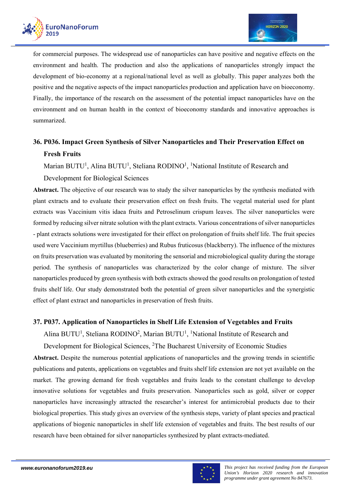

for commercial purposes. The widespread use of nanoparticles can have positive and negative effects on the environment and health. The production and also the applications of nanoparticles strongly impact the development of bio-economy at a regional/national level as well as globally. This paper analyzes both the positive and the negative aspects of the impact nanoparticles production and application have on bioeconomy. Finally, the importance of the research on the assessment of the potential impact nanoparticles have on the environment and on human health in the context of bioeconomy standards and innovative approaches is summarized.

# **36. P036. Impact Green Synthesis of Silver Nanoparticles and Their Preservation Effect on Fresh Fruits**

Marian BUTU<sup>1</sup>, Alina BUTU<sup>1</sup>, Steliana RODINO<sup>1</sup>, <sup>1</sup>National Institute of Research and

### Development for Biological Sciences

**Abstract.** The objective of our research was to study the silver nanoparticles by the synthesis mediated with plant extracts and to evaluate their preservation effect on fresh fruits. The vegetal material used for plant extracts was Vaccinium vitis idaea fruits and Petroselinum crispum leaves. The silver nanoparticles were formed by reducing silver nitrate solution with the plant extracts. Various concentrations of silver nanoparticles - plant extracts solutions were investigated for their effect on prolongation of fruits shelf life. The fruit species used were Vaccinium myrtillus (blueberries) and Rubus fruticosus (blackberry). The influence of the mixtures on fruits preservation was evaluated by monitoring the sensorial and microbiological quality during the storage period. The synthesis of nanoparticles was characterized by the color change of mixture. The silver nanoparticles produced by green synthesis with both extracts showed the good results on prolongation of tested fruits shelf life. Our study demonstrated both the potential of green silver nanoparticles and the synergistic effect of plant extract and nanoparticles in preservation of fresh fruits.

### **37. P037. Application of Nanoparticles in Shelf Life Extension of Vegetables and Fruits**

Alina BUTU<sup>1</sup>, Steliana RODINO<sup>2</sup>, Marian BUTU<sup>1</sup>, <sup>1</sup>National Institute of Research and

Development for Biological Sciences, <sup>2</sup>The Bucharest University of Economic Studies

**Abstract.** Despite the numerous potential applications of nanoparticles and the growing trends in scientific publications and patents, applications on vegetables and fruits shelf life extension are not yet available on the market. The growing demand for fresh vegetables and fruits leads to the constant challenge to develop innovative solutions for vegetables and fruits preservation. Nanoparticles such as gold, silver or copper nanoparticles have increasingly attracted the researcher's interest for antimicrobial products due to their biological properties. This study gives an overview of the synthesis steps, variety of plant species and practical applications of biogenic nanoparticles in shelf life extension of vegetables and fruits. The best results of our research have been obtained for silver nanoparticles synthesized by plant extracts-mediated.

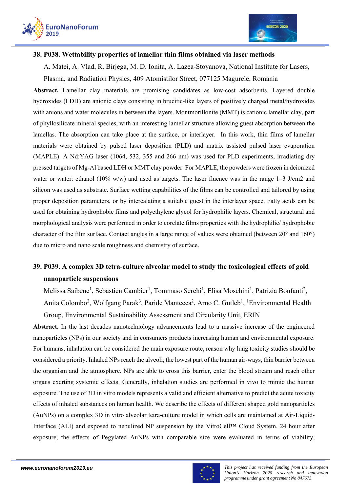



#### **38. P038. Wettability properties of lamellar thin films obtained via laser methods**

A. Matei, A. Vlad, R. Birjega, M. D. Ionita, A. Lazea-Stoyanova, National Institute for Lasers,

Plasma, and Radiation Physics, 409 Atomistilor Street, 077125 Magurele, Romania

**Abstract.** Lamellar clay materials are promising candidates as low-cost adsorbents. Layered double hydroxides (LDH) are anionic clays consisting in brucitic-like layers of positively charged metal/hydroxides with anions and water molecules in between the layers. Montmorillonite (MMT) is cationic lamellar clay, part of phyllosilicate mineral species, with an interesting lamellar structure allowing guest absorption between the lamellas. The absorption can take place at the surface, or interlayer. In this work, thin films of lamellar materials were obtained by pulsed laser deposition (PLD) and matrix assisted pulsed laser evaporation (MAPLE). A Nd:YAG laser (1064, 532, 355 and 266 nm) was used for PLD experiments, irradiating dry pressed targets of Mg-Al based LDH or MMT clay powder. For MAPLE, the powders were frozen in deionized water or water: ethanol (10% w/w) and used as targets. The laser fluence was in the range 1–3 J/cm2 and silicon was used as substrate. Surface wetting capabilities of the films can be controlled and tailored by using proper deposition parameters, or by intercalating a suitable guest in the interlayer space. Fatty acids can be used for obtaining hydrophobic films and polyethylene glycol for hydrophilic layers. Chemical, structural and morphological analysis were performed in order to corelate films properties with the hydrophilic/ hydrophobic character of the film surface. Contact angles in a large range of values were obtained (between 20° and 160°) due to micro and nano scale roughness and chemistry of surface.

# **39. P039. A complex 3D tetra-culture alveolar model to study the toxicological effects of gold nanoparticle suspensions**

Melissa Saibene<sup>1</sup>, Sebastien Cambier<sup>1</sup>, Tommaso Serchi<sup>1</sup>, Elisa Moschini<sup>1</sup>, Patrizia Bonfanti<sup>2</sup>,

Anita Colombo<sup>2</sup>, Wolfgang Parak<sup>3</sup>, Paride Mantecca<sup>2</sup>, Arno C. Gutleb<sup>1</sup>, <sup>1</sup>Environmental Health Group, Environmental Sustainability Assessment and Circularity Unit, ERIN

**Abstract.** In the last decades nanotechnology advancements lead to a massive increase of the engineered nanoparticles (NPs) in our society and in consumers products increasing human and environmental exposure. For humans, inhalation can be considered the main exposure route, reason why lung toxicity studies should be considered a priority. Inhaled NPs reach the alveoli, the lowest part of the human air-ways, thin barrier between the organism and the atmosphere. NPs are able to cross this barrier, enter the blood stream and reach other organs exerting systemic effects. Generally, inhalation studies are performed in vivo to mimic the human exposure. The use of 3D in vitro models represents a valid and efficient alternative to predict the acute toxicity effects of inhaled substances on human health. We describe the effects of different shaped gold nanoparticles (AuNPs) on a complex 3D in vitro alveolar tetra-culture model in which cells are maintained at Air-Liquid-Interface (ALI) and exposed to nebulized NP suspension by the VitroCell™ Cloud System. 24 hour after exposure, the effects of Pegylated AuNPs with comparable size were evaluated in terms of viability,

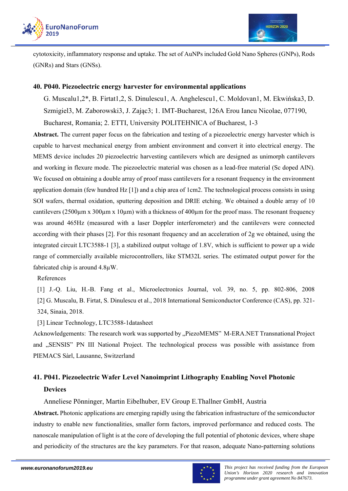



cytotoxicity, inflammatory response and uptake. The set of AuNPs included Gold Nano Spheres (GNPs), Rods (GNRs) and Stars (GNSs).

### **40. P040. Piezoelectric energy harvester for environmental applications**

G. Muscalu1,2\*, B. Firtat1,2, S. Dinulescu1, A. Anghelescu1, C. Moldovan1, M. Ekwińska3, D. Szmigiel3, M. Zaborowski3, J. Zając3; 1. IMT-Bucharest, 126A Erou Iancu Nicolae, 077190, Bucharest, Romania; 2. ETTI, University POLITEHNICA of Bucharest, 1-3

**Abstract.** The current paper focus on the fabrication and testing of a piezoelectric energy harvester which is capable to harvest mechanical energy from ambient environment and convert it into electrical energy. The MEMS device includes 20 piezoelectric harvesting cantilevers which are designed as unimorph cantilevers and working in flexure mode. The piezoelectric material was chosen as a lead-free material (Sc doped AlN). We focused on obtaining a double array of proof mass cantilevers for a resonant frequency in the environment application domain (few hundred Hz [1]) and a chip area of 1cm2. The technological process consists in using SOI wafers, thermal oxidation, sputtering deposition and DRIE etching. We obtained a double array of 10 cantilevers (2500 $\mu$ m x 300 $\mu$ m x 10 $\mu$ m) with a thickness of 400 $\mu$ m for the proof mass. The resonant frequency was around 465Hz (measured with a laser Doppler interferometer) and the cantilevers were connected according with their phases [2]. For this resonant frequency and an acceleration of 2g we obtained, using the integrated circuit LTC3588-1 [3], a stabilized output voltage of 1.8V, which is sufficient to power up a wide range of commercially available microcontrollers, like STM32L series. The estimated output power for the fabricated chip is around 4.8µW.

References

[1] J.-Q. Liu, H.-B. Fang et al., Microelectronics Journal, vol. 39, no. 5, pp. 802-806, 2008 [2] G. Muscalu, B. Firtat, S. Dinulescu et al., 2018 International Semiconductor Conference (CAS), pp. 321- 324, Sinaia, 2018.

[3] Linear Technology, LTC3588-1datasheet

Acknowledgements: The research work was supported by "PiezoMEMS" M-ERA.NET Transnational Project and "SENSIS" PN III National Project. The technological process was possible with assistance from PIEMACS Sàrl, Lausanne, Switzerland

# **41. P041. Piezoelectric Wafer Level Nanoimprint Lithography Enabling Novel Photonic Devices**

Anneliese Pönninger, Martin Eibelhuber, EV Group E.Thallner GmbH, Austria

**Abstract.** Photonic applications are emerging rapidly using the fabrication infrastructure of the semiconductor industry to enable new functionalities, smaller form factors, improved performance and reduced costs. The nanoscale manipulation of light is at the core of developing the full potential of photonic devices, where shape and periodicity of the structures are the key parameters. For that reason, adequate Nano-patterning solutions

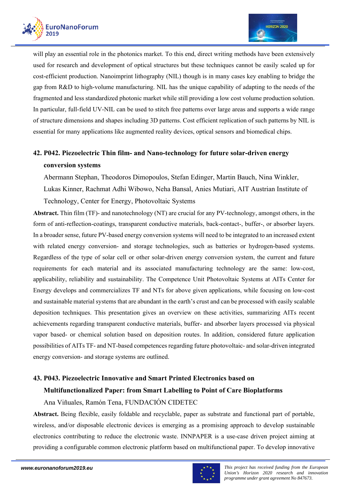



will play an essential role in the photonics market. To this end, direct writing methods have been extensively used for research and development of optical structures but these techniques cannot be easily scaled up for cost-efficient production. Nanoimprint lithography (NIL) though is in many cases key enabling to bridge the gap from R&D to high-volume manufacturing. NIL has the unique capability of adapting to the needs of the fragmented and less standardized photonic market while still providing a low cost volume production solution. In particular, full-field UV-NIL can be used to stitch free patterns over large areas and supports a wide range of structure dimensions and shapes including 3D patterns. Cost efficient replication of such patterns by NIL is essential for many applications like augmented reality devices, optical sensors and biomedical chips.

# **42. P042. Piezoelectric Thin film- and Nano-technology for future solar-driven energy conversion systems**

Abermann Stephan, Theodoros Dimopoulos, Stefan Edinger, Martin Bauch, Nina Winkler,

Lukas Kinner, Rachmat Adhi Wibowo, Neha Bansal, Anies Mutiari, AIT Austrian Institute of

Technology, Center for Energy, Photovoltaic Systems

**Abstract.** Thin film (TF)- and nanotechnology (NT) are crucial for any PV-technology, amongst others, in the form of anti-reflection-coatings, transparent conductive materials, back-contact-, buffer-, or absorber layers. In a broader sense, future PV-based energy conversion systems will need to be integrated to an increased extent with related energy conversion- and storage technologies, such as batteries or hydrogen-based systems. Regardless of the type of solar cell or other solar-driven energy conversion system, the current and future requirements for each material and its associated manufacturing technology are the same: low-cost, applicability, reliability and sustainability. The Competence Unit Photovoltaic Systems at AITs Center for Energy develops and commercializes TF and NTs for above given applications, while focusing on low-cost and sustainable material systems that are abundant in the earth's crust and can be processed with easily scalable deposition techniques. This presentation gives an overview on these activities, summarizing AITs recent achievements regarding transparent conductive materials, buffer- and absorber layers processed via physical vapor based- or chemical solution based on deposition routes. In addition, considered future application possibilities of AITs TF- and NT-based competences regarding future photovoltaic- and solar-driven integrated energy conversion- and storage systems are outlined.

# **43. P043. Piezoelectric Innovative and Smart Printed Electronics based on Multifunctionalized Paper: from Smart Labelling to Point of Care Bioplatforms**

Ana Viñuales, Ramón Tena, FUNDACIÓN CIDETEC

**Abstract.** Being flexible, easily foldable and recyclable, paper as substrate and functional part of portable, wireless, and/or disposable electronic devices is emerging as a promising approach to develop sustainable electronics contributing to reduce the electronic waste. INNPAPER is a use-case driven project aiming at providing a configurable common electronic platform based on multifunctional paper. To develop innovative

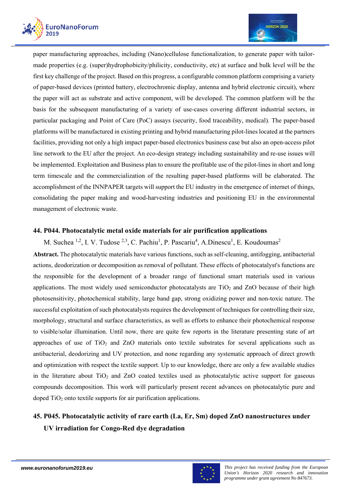



paper manufacturing approaches, including (Nano)cellulose functionalization, to generate paper with tailormade properties (e.g. (super)hydrophobicity/philicity, conductivity, etc) at surface and bulk level will be the first key challenge of the project. Based on this progress, a configurable common platform comprising a variety of paper-based devices (printed battery, electrochromic display, antenna and hybrid electronic circuit), where the paper will act as substrate and active component, will be developed. The common platform will be the basis for the subsequent manufacturing of a variety of use-cases covering different industrial sectors, in particular packaging and Point of Care (PoC) assays (security, food traceability, medical). The paper-based platforms will be manufactured in existing printing and hybrid manufacturing pilot-lines located at the partners facilities, providing not only a high impact paper-based electronics business case but also an open-access pilot line network to the EU after the project. An eco-design strategy including sustainability and re-use issues will be implemented. Exploitation and Business plan to ensure the profitable use of the pilot-lines in short and long term timescale and the commercialization of the resulting paper-based platforms will be elaborated. The accomplishment of the INNPAPER targets will support the EU industry in the emergence of internet of things, consolidating the paper making and wood-harvesting industries and positioning EU in the environmental management of electronic waste.

### **44. P044. Photocatalytic metal oxide materials for air purification applications**

M. Suchea <sup>1,2</sup>, I. V. Tudose <sup>2,3</sup>, C. Pachiu<sup>1</sup>, P. Pascariu<sup>4</sup>, A.Dinescu<sup>1</sup>, E. Koudoumas<sup>2</sup> **Abstract.** The photocatalytic materials have various functions, such as self-cleaning, antifogging, antibacterial actions, deodorization or decomposition as removal of pollutant. These effects of photocatalyst's functions are the responsible for the development of a broader range of functional smart materials used in various applications. The most widely used semiconductor photocatalysts are  $TiO<sub>2</sub>$  and  $ZnO$  because of their high photosensitivity, photochemical stability, large band gap, strong oxidizing power and non-toxic nature. The successful exploitation of such photocatalysts requires the development of techniques for controlling their size, morphology, structural and surface characteristics, as well as efforts to enhance their photochemical response to visible/solar illumination. Until now, there are quite few reports in the literature presenting state of art approaches of use of  $TiO<sub>2</sub>$  and  $ZnO$  materials onto textile substrates for several applications such as antibacterial, deodorizing and UV protection, and none regarding any systematic approach of direct growth and optimization with respect the textile support. Up to our knowledge, there are only a few available studies in the literature about  $TiO<sub>2</sub>$  and  $ZnO$  coated textiles used as photocatalytic active support for gaseous compounds decomposition. This work will particularly present recent advances on photocatalytic pure and doped  $TiO<sub>2</sub>$  onto textile supports for air purification applications.

# **45. P045. Photocatalytic activity of rare earth (La, Er, Sm) doped ZnO nanostructures under UV irradiation for Congo-Red dye degradation**

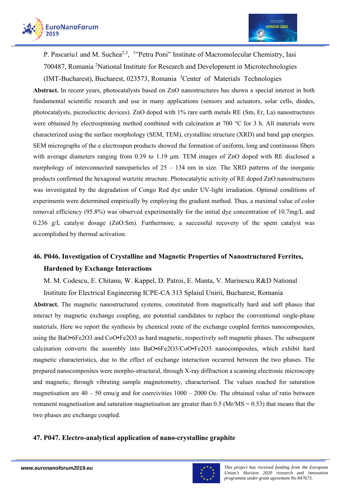



P. Pascariu1 and M. Suchea<sup>2, 1</sup>"Petru Poni" Institute of Macromolecular Chemistry, Iasi 700487, Romania<sup>2</sup>National Institute for Research and Development in Microtechnologies

(IMT-Bucharest), Bucharest, 023573, Romania <sup>3</sup> Center of Materials Technologies

**Abstract.** In recent years, photocatalysts based on ZnO nanostructures has shown a special interest in both fundamental scientific research and use in many applications (sensors and actuators, solar cells, diodes, photocatalysts, piezoelectric devices). ZnO doped with 1% rare earth metals RE (Sm, Er, La) nanostructures were obtained by electrospinning method combined with calcination at 700 °C for 3 h. All materials were characterized using the surface morphology (SEM, TEM), crystalline structure (XRD) and band gap energies. SEM micrographs of the e electrospun products showed the formation of uniform, long and continuous fibers with average diameters ranging from 0.39 to 1.19 µm. TEM images of ZnO doped with RE disclosed a morphology of interconnected nanoparticles of  $25 - 134$  nm in size. The XRD patterns of the inorganic products confirmed the hexagonal wurtzite structure. Photocatalytic activity of RE doped ZnO nanostructures was investigated by the degradation of Congo Red dye under UV-light irradiation. Optimal conditions of experiments were determined empirically by employing the gradient method. Thus, a maximal value of color removal efficiency (95.8%) was observed experimentally for the initial dye concentration of 10.7mg/L and 0.236 g/L catalyst dosage (ZnO:Sm). Furthermore, a successful recovery of the spent catalyst was accomplished by thermal activation.

# **46. P046. Investigation of Crystalline and Magnetic Properties of Nanostructured Ferrites, Hardened by Exchange Interactions**

M. M. Codescu, E. Chitanu, W. Kappel, D. Patroi, E. Manta, V. Marinescu R&D National

Institute for Electrical Engineering ICPE-CA 313 Splaiul Unirii, Bucharest, Romania

**Abstract.** The magnetic nanostructured systems, constituted from magnetically hard and soft phases that interact by magnetic exchange coupling, are potential candidates to replace the conventional single-phase materials. Here we report the synthesis by chemical route of the exchange coupled ferrites nanocomposites, using the BaO•6Fe2O3 and CoO•Fe2O3 as hard magnetic, respectively soft magnetic phases. The subsequent calcination converts the assembly into BaO•6Fe2O3/CoO•Fe2O3 nanocomposites, which exhibit hard magnetic characteristics, due to the effect of exchange interaction occurred between the two phases. The prepared nanocomposites were morpho-structural, through X-ray diffraction a scanning electronic microscopy and magnetic, through vibrating sample magnetometry, characterised. The values reached for saturation magnetisation are  $40 - 50$  emu/g and for coercivities  $1000 - 2000$  Oe. The obtained value of ratio between remanent magnetisation and saturation magnetisation are greater than  $0.5$  (Mr/MS =  $0.53$ ) that means that the two phases are exchange coupled.

### **47. P047. Electro-analytical application of nano-crystalline graphite**

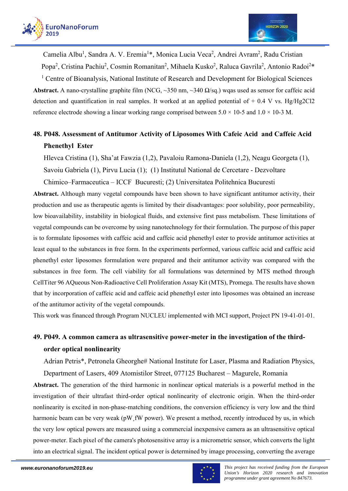



Camelia Albu<sup>1</sup>, Sandra A. V. Eremia<sup>1\*</sup>, Monica Lucia Veca<sup>2</sup>, Andrei Avram<sup>2</sup>, Radu Cristian Popa<sup>2</sup>, Cristina Pachiu<sup>2</sup>, Cosmin Romanitan<sup>2</sup>, Mihaela Kusko<sup>2</sup>, Raluca Gavrila<sup>2</sup>, Antonio Radoi<sup>2\*</sup> <sup>1</sup> Centre of Bioanalysis, National Institute of Research and Development for Biological Sciences

**Abstract.** A nano-crystalline graphite film (NCG, ~350 nm, ~340  $\Omega$ /sq.) wqas used as sensor for caffeic acid detection and quantification in real samples. It worked at an applied potential of  $+$  0.4 V vs. Hg/Hg2Cl2 reference electrode showing a linear working range comprised between  $5.0 \times 10$ -5 and  $1.0 \times 10$ -3 M.

# **48. P048. Assessment of Antitumor Activity of Liposomes With Cafeic Acid and Caffeic Acid Phenethyl Ester**

Hlevca Cristina (1), Sha'at Fawzia (1,2), Pavaloiu Ramona-Daniela (1,2), Neagu Georgeta (1), Savoiu Gabriela (1), Pirvu Lucia (1); (1) Institutul National de Cercetare - Dezvoltare Chimico–Farmaceutica – ICCF Bucuresti; (2) Universitatea Politehnica Bucuresti

**Abstract.** Although many vegetal compounds have been shown to have significant antitumor activity, their production and use as therapeutic agents is limited by their disadvantages: poor solubility, poor permeability, low bioavailability, instability in biological fluids, and extensive first pass metabolism. These limitations of vegetal compounds can be overcome by using nanotechnology for their formulation. The purpose of this paper is to formulate liposomes with caffeic acid and caffeic acid phenethyl ester to provide antitumor activities at least equal to the substances in free form. In the experiments performed, various caffeic acid and caffeic acid phenethyl ester liposomes formulation were prepared and their antitumor activity was compared with the substances in free form. The cell viability for all formulations was determined by MTS method through CellTiter 96 AQueous Non-Radioactive Cell Proliferation Assay Kit (MTS), Promega. The results have shown that by incorporation of caffeic acid and caffeic acid phenethyl ester into liposomes was obtained an increase of the antitumor activity of the vegetal compounds.

This work was financed through Program NUCLEU implemented with MCI support, Project PN 19-41-01-01.

# **49. P049. A common camera as ultrasensitive power-meter in the investigation of the thirdorder optical nonlinearity**

Adrian Petris\*, Petronela Gheorghe# National Institute for Laser, Plasma and Radiation Physics,

Department of Lasers, 409 Atomistilor Street, 077125 Bucharest – Magurele, Romania

**Abstract.** The generation of the third harmonic in nonlinear optical materials is a powerful method in the investigation of their ultrafast third-order optical nonlinearity of electronic origin. When the third-order nonlinearity is excited in non-phase-matching conditions, the conversion efficiency is very low and the third harmonic beam can be very weak (pW fW power). We present a method, recently introduced by us, in which the very low optical powers are measured using a commercial inexpensive camera as an ultrasensitive optical power-meter. Each pixel of the camera's photosensitive array is a micrometric sensor, which converts the light into an electrical signal. The incident optical power is determined by image processing, converting the average

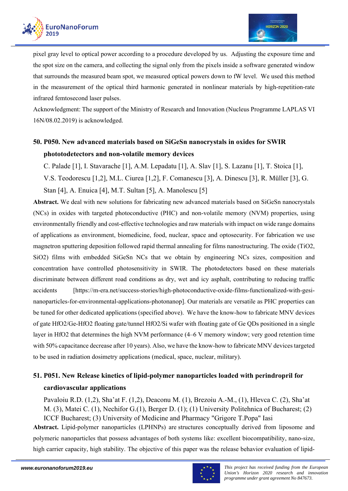



pixel gray level to optical power according to a procedure developed by us. Adjusting the exposure time and the spot size on the camera, and collecting the signal only from the pixels inside a software generated window that surrounds the measured beam spot, we measured optical powers down to fW level. We used this method in the measurement of the optical third harmonic generated in nonlinear materials by high-repetition-rate infrared femtosecond laser pulses.

Acknowledgment: The support of the Ministry of Research and Innovation (Nucleus Programme LAPLAS VI 16N/08.02.2019) is acknowledged.

# **50. P050. New advanced materials based on SiGeSn nanocrystals in oxides for SWIR phototodetectors and non-volatile memory devices**

C. Palade [1], I. Stavarache [1], A.M. Lepadatu [1], A. Slav [1], S. Lazanu [1], T. Stoica [1], V.S. Teodorescu [1,2], M.L. Ciurea [1,2], F. Comanescu [3], A. Dinescu [3], R. Müller [3], G. Stan [4], A. Enuica [4], M.T. Sultan [5], A. Manolescu [5]

**Abstract.** We deal with new solutions for fabricating new advanced materials based on SiGeSn nanocrystals (NCs) in oxides with targeted photoconductive (PHC) and non-volatile memory (NVM) properties, using environmentally friendly and cost-effective technologies and raw materials with impact on wide range domains of applications as environment, biomedicine, food, nuclear, space and optosecurity. For fabrication we use magnetron sputtering deposition followed rapid thermal annealing for films nanostructuring. The oxide (TiO2, SiO2) films with embedded SiGeSn NCs that we obtain by engineering NCs sizes, composition and concentration have controlled photosensitivity in SWIR. The photodetectors based on these materials discriminate between different road conditions as dry, wet and icy asphalt, contributing to reducing traffic accidents [https://m-era.net/success-stories/high-photoconductive-oxide-films-functionalized-with-gesinanoparticles-for-environmental-applications-photonanop]. Our materials are versatile as PHC properties can be tuned for other dedicated applications (specified above). We have the know-how to fabricate MNV devices of gate HfO2/Ge-HfO2 floating gate/tunnel HfO2/Si wafer with floating gate of Ge QDs positioned in a single layer in HfO2 that determines the high NVM performance (4–6 V memory window; very good retention time with 50% capacitance decrease after 10 years). Also, we have the know-how to fabricate MNV devices targeted to be used in radiation dosimetry applications (medical, space, nuclear, military).

# **51. P051. New Release kinetics of lipid-polymer nanoparticles loaded with perindropril for cardiovascular applications**

Pavaloiu R.D. (1,2), Sha'at F. (1,2), Deaconu M. (1), Brezoiu A.-M., (1), Hlevca C. (2), Sha'at M. (3), Matei C. (1), Nechifor G.(1), Berger D. (1); (1) University Politehnica of Bucharest; (2) ICCF Bucharest; (3) University of Medicine and Pharmacy "Grigore T.Popa" Iasi

**Abstract.** Lipid-polymer nanoparticles (LPHNPs) are structures conceptually derived from liposome and polymeric nanoparticles that possess advantages of both systems like: excellent biocompatibility, nano-size, high carrier capacity, high stability. The objective of this paper was the release behavior evaluation of lipid-

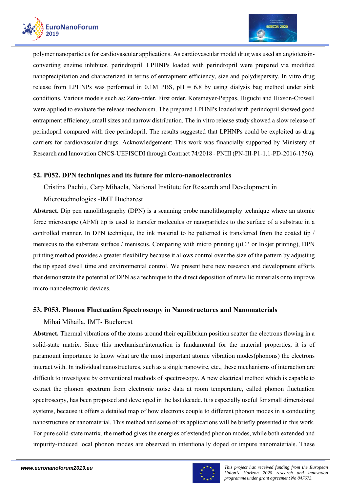

polymer nanoparticles for cardiovascular applications. As cardiovascular model drug was used an angiotensinconverting enzime inhibitor, perindropril. LPHNPs loaded with perindropril were prepared via modified nanoprecipitation and characterized in terms of entrapment efficiency, size and polydispersity. In vitro drug release from LPHNPs was performed in 0.1M PBS,  $pH = 6.8$  by using dialysis bag method under sink conditions. Various models such as: Zero-order, First order, Korsmeyer-Peppas, Higuchi and Hixson-Crowell were applied to evaluate the release mechanism. The prepared LPHNPs loaded with perindopril showed good entrapment efficiency, small sizes and narrow distribution. The in vitro release study showed a slow release of perindopril compared with free perindopril. The results suggested that LPHNPs could be exploited as drug carriers for cardiovascular drugs. Acknowledgement: This work was financially supported by Ministery of Research and Innovation CNCS-UEFISCDI through Contract 74/2018 - PNIII (PN-III-P1-1.1-PD-2016-1756).

### **52. P052. DPN techniques and its future for micro-nanoelectronics**

Cristina Pachiu, Carp Mihaela, National Institute for Research and Development in

### Microtechnologies -IMT Bucharest

**Abstract.** Dip pen nanolithography (DPN) is a scanning probe nanolithography technique where an atomic force microscope (AFM) tip is used to transfer molecules or nanoparticles to the surface of a substrate in a controlled manner. In DPN technique, the ink material to be patterned is transferred from the coated tip / meniscus to the substrate surface / meniscus. Comparing with micro printing  $(\mu CP)$  or Inkjet printing), DPN printing method provides a greater flexibility because it allows control over the size of the pattern by adjusting the tip speed dwell time and environmental control. We present here new research and development efforts that demonstrate the potential of DPN as a technique to the direct deposition of metallic materials or to improve micro-nanoelectronic devices.

### **53. P053. Phonon Fluctuation Spectroscopy in Nanostructures and Nanomaterials**

#### Mihai Mihaila, IMT- Bucharest

**Abstract.** Thermal vibrations of the atoms around their equilibrium position scatter the electrons flowing in a solid-state matrix. Since this mechanism/interaction is fundamental for the material properties, it is of paramount importance to know what are the most important atomic vibration modes(phonons) the electrons interact with. In individual nanostructures, such as a single nanowire, etc., these mechanisms of interaction are difficult to investigate by conventional methods of spectroscopy. A new electrical method which is capable to extract the phonon spectrum from electronic noise data at room temperature, called phonon fluctuation spectroscopy, has been proposed and developed in the last decade. It is especially useful for small dimensional systems, because it offers a detailed map of how electrons couple to different phonon modes in a conducting nanostructure or nanomaterial. This method and some of its applications will be briefly presented in this work. For pure solid-state matrix, the method gives the energies of extended phonon modes, while both extended and impurity-induced local phonon modes are observed in intentionally doped or impure nanomaterials. These

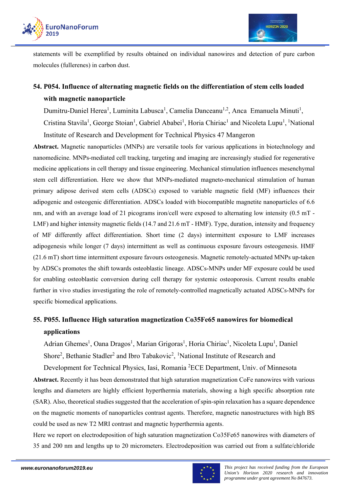

statements will be exemplified by results obtained on individual nanowires and detection of pure carbon molecules (fullerenes) in carbon dust.

# **54. P054. Influence of alternating magnetic fields on the differentiation of stem cells loaded with magnetic nanoparticle**

Dumitru-Daniel Herea<sup>1</sup>, Luminita Labusca<sup>1</sup>, Camelia Danceanu<sup>1,2</sup>, Anca Emanuela Minuti<sup>1</sup>,

Cristina Stavila<sup>1</sup>, George Stoian<sup>1</sup>, Gabriel Ababei<sup>1</sup>, Horia Chiriac<sup>1</sup> and Nicoleta Lupu<sup>1</sup>, <sup>1</sup>National Institute of Research and Development for Technical Physics 47 Mangeron

**Abstract.** Magnetic nanoparticles (MNPs) are versatile tools for various applications in biotechnology and nanomedicine. MNPs-mediated cell tracking, targeting and imaging are increasingly studied for regenerative medicine applications in cell therapy and tissue engineering. Mechanical stimulation influences mesenchymal stem cell differentiation. Here we show that MNPs-mediated magneto-mechanical stimulation of human primary adipose derived stem cells (ADSCs) exposed to variable magnetic field (MF) influences their adipogenic and osteogenic differentiation. ADSCs loaded with biocompatible magnetite nanoparticles of 6.6 nm, and with an average load of 21 picograms iron/cell were exposed to alternating low intensity (0.5 mT -LMF) and higher intensity magnetic fields (14.7 and 21.6 mT - HMF). Type, duration, intensity and frequency of MF differently affect differentiation. Short time (2 days) intermittent exposure to LMF increases adipogenesis while longer (7 days) intermittent as well as continuous exposure favours osteogenesis. HMF (21.6 mT) short time intermittent exposure favours osteogenesis. Magnetic remotely-actuated MNPs up-taken by ADSCs promotes the shift towards osteoblastic lineage. ADSCs-MNPs under MF exposure could be used for enabling osteoblastic conversion during cell therapy for systemic osteoporosis. Current results enable further in vivo studies investigating the role of remotely-controlled magnetically actuated ADSCs-MNPs for specific biomedical applications.

# **55. P055. Influence High saturation magnetization Co35Fe65 nanowires for biomedical applications**

Adrian Ghemes<sup>1</sup>, Oana Dragos<sup>1</sup>, Marian Grigoras<sup>1</sup>, Horia Chiriac<sup>1</sup>, Nicoleta Lupu<sup>1</sup>, Daniel Shore<sup>2</sup>, Bethanie Stadler<sup>2</sup> and Ibro Tabakovic<sup>2</sup>, <sup>1</sup>National Institute of Research and

Development for Technical Physics, Iasi, Romania<sup>2</sup>ECE Department, Univ. of Minnesota **Abstract.** Recently it has been demonstrated that high saturation magnetization CoFe nanowires with various lengths and diameters are highly efficient hyperthermia materials, showing a high specific absorption rate (SAR). Also, theoretical studies suggested that the acceleration of spin-spin relaxation has a square dependence on the magnetic moments of nanoparticles contrast agents. Therefore, magnetic nanostructures with high BS could be used as new T2 MRI contrast and magnetic hyperthermia agents.

Here we report on electrodeposition of high saturation magnetization Co35Fe65 nanowires with diameters of 35 and 200 nm and lengths up to 20 micrometers. Electrodeposition was carried out from a sulfate/chloride

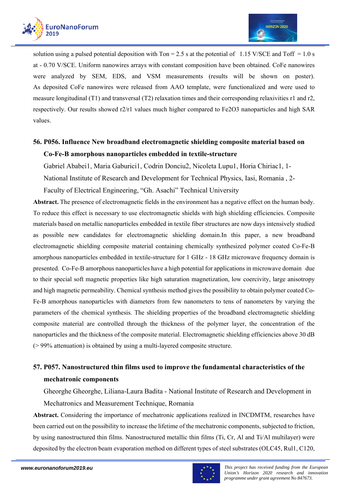

solution using a pulsed potential deposition with  $T_{on} = 2.5$  s at the potential of 1.15 V/SCE and  $T_{off} = 1.0$  s at - 0.70 V/SCE. Uniform nanowires arrays with constant composition have been obtained. CoFe nanowires were analyzed by SEM, EDS, and VSM measurements (results will be shown on poster). As deposited CoFe nanowires were released from AAO template, were functionalized and were used to measure longitudinal (T1) and transversal (T2) relaxation times and their corresponding relaxivities r1 and r2, respectively. Our results showed r2/r1 values much higher compared to Fe2O3 nanoparticles and high SAR values.

# **56. P056. Influence New broadband electromagnetic shielding composite material based on Co-Fe-B amorphous nanoparticles embedded in textile-structure**

Gabriel Ababei1, Maria Gaburici1, Codrin Donciu2, Nicoleta Lupu1, Horia Chiriac1, 1-

National Institute of Research and Development for Technical Physics, Iasi, Romania , 2-

Faculty of Electrical Engineering, "Gh. Asachi" Technical University

**Abstract.** The presence of electromagnetic fields in the environment has a negative effect on the human body. To reduce this effect is necessary to use electromagnetic shields with high shielding efficiencies. Composite materials based on metallic nanoparticles embedded in textile fiber structures are now days intensively studied as possible new candidates for electromagnetic shielding domain.In this paper, a new broadband electromagnetic shielding composite material containing chemically synthesized polymer coated Co-Fe-B amorphous nanoparticles embedded in textile-structure for 1 GHz - 18 GHz microwave frequency domain is presented. Co-Fe-B amorphous nanoparticles have a high potential for applications in microwave domain due to their special soft magnetic properties like high saturation magnetization, low coercivity, large anisotropy and high magnetic permeability. Chemical synthesis method gives the possibility to obtain polymer coated Co-Fe-B amorphous nanoparticles with diameters from few nanometers to tens of nanometers by varying the parameters of the chemical synthesis. The shielding properties of the broadband electromagnetic shielding composite material are controlled through the thickness of the polymer layer, the concentration of the nanoparticles and the thickness of the composite material. Electromagnetic shielding efficiencies above 30 dB (> 99% attenuation) is obtained by using a multi-layered composite structure.

# **57. P057. Nanostructured thin films used to improve the fundamental characteristics of the mechatronic components**

Gheorghe Gheorghe, Liliana-Laura Badita - National Institute of Research and Development in

Mechatronics and Measurement Technique, Romania

**Abstract.** Considering the importance of mechatronic applications realized in INCDMTM, researches have been carried out on the possibility to increase the lifetime of the mechatronic components, subjected to friction, by using nanostructured thin films. Nanostructured metallic thin films (Ti, Cr, Al and Ti/Al multilayer) were deposited by the electron beam evaporation method on different types of steel substrates (OLC45, Rul1, C120,

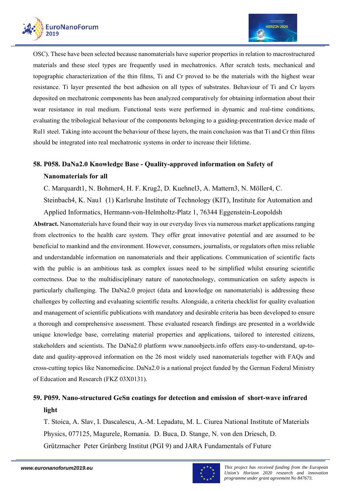



OSC). These have been selected because nanomaterials have superior properties in relation to macrostructured materials and these steel types are frequently used in mechatronics. After scratch tests, mechanical and topographic characterization of the thin films, Ti and Cr proved to be the materials with the highest wear resistance. Ti layer presented the best adhesion on all types of substrates. Behaviour of Ti and Cr layers deposited on mechatronic components has been analyzed comparatively for obtaining information about their wear resistance in real medium. Functional tests were performed in dynamic and real-time conditions, evaluating the tribological behaviour of the components belonging to a guiding-precentration device made of Rul1 steel. Taking into account the behaviour of these layers, the main conclusion was that Ti and Cr thin films should be integrated into real mechatronic systems in order to increase their lifetime.

# **58. P058. DaNa2.0 Knowledge Base - Quality-approved information on Safety of Nanomaterials for all**

C. Marquardt1, N. Bohmer4, H. F. Krug2, D. Kuehnel3, A. Mattern3, N. Möller4, C.

Steinbach4, K. Nau1 (1) Karlsruhe Institute of Technology (KIT), Institute for Automation and Applied Informatics, Hermann-von-Helmholtz-Platz 1, 76344 Eggenstein-Leopoldsh

**Abstract.** Nanomaterials have found their way in our everyday lives via numerous market applications ranging from electronics to the health care system. They offer great innovative potential and are assumed to be beneficial to mankind and the environment. However, consumers, journalists, or regulators often miss reliable and understandable information on nanomaterials and their applications. Communication of scientific facts with the public is an ambitious task as complex issues need to be simplified whilst ensuring scientific correctness. Due to the multidisciplinary nature of nanotechnology, communication on safety aspects is particularly challenging. The DaNa2.0 project (data and knowledge on nanomaterials) is addressing these challenges by collecting and evaluating scientific results. Alongside, a criteria checklist for quality evaluation and management of scientific publications with mandatory and desirable criteria has been developed to ensure a thorough and comprehensive assessment. These evaluated research findings are presented in a worldwide unique knowledge base, correlating material properties and applications, tailored to interested citizens, stakeholders and scientists. The DaNa2.0 platform www.nanoobjects.info offers easy-to-understand, up-todate and quality-approved information on the 26 most widely used nanomaterials together with FAQs and cross-cutting topics like Nanomedicine. DaNa2.0 is a national project funded by the German Federal Ministry of Education and Research (FKZ 03X0131).

# **59. P059. Nano-structured GeSn coatings for detection and emission of short-wave infrared light**

T. Stoica, A. Slav, I. Dascalescu, A.-M. Lepadatu, M. L. Ciurea National Institute of Materials Physics, 077125, Magurele, Romania. D. Buca, D. Stange, N. von den Driesch, D. Grützmacher Peter Grünberg Institut (PGI 9) and JARA Fundamentals of Future

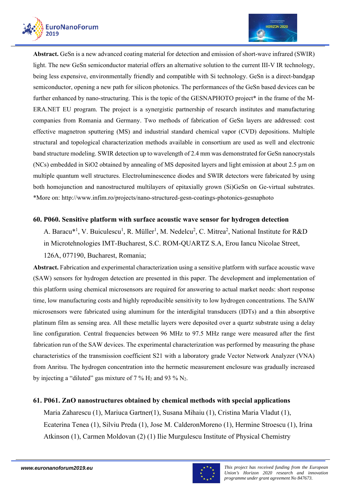



**Abstract.** GeSn is a new advanced coating material for detection and emission of short-wave infrared (SWIR) light. The new GeSn semiconductor material offers an alternative solution to the current III-V IR technology, being less expensive, environmentally friendly and compatible with Si technology. GeSn is a direct-bandgap semiconductor, opening a new path for silicon photonics. The performances of the GeSn based devices can be further enhanced by nano-structuring. This is the topic of the GESNAPHOTO project\* in the frame of the M-ERA.NET EU program. The project is a synergistic partnership of research institutes and manufacturing companies from Romania and Germany. Two methods of fabrication of GeSn layers are addressed: cost effective magnetron sputtering (MS) and industrial standard chemical vapor (CVD) depositions. Multiple structural and topological characterization methods available in consortium are used as well and electronic band structure modeling. SWIR detection up to wavelength of 2.4 mm was demonstrated for GeSn nanocrystals (NCs) embedded in SiO2 obtained by annealing of MS deposited layers and light emission at about 2.5 µm on multiple quantum well structures. Electroluminescence diodes and SWIR detectors were fabricated by using both homojunction and nanostructured multilayers of epitaxially grown (Si)GeSn on Ge-virtual substrates. \*More on: http://www.infim.ro/projects/nano-structured-gesn-coatings-photonics-gesnaphoto

### **60. P060. Sensitive platform with surface acoustic wave sensor for hydrogen detection**

A. Baracu\*<sup>1</sup>, V. Buiculescu<sup>1</sup>, R. Müller<sup>1</sup>, M. Nedelcu<sup>2</sup>, C. Mitrea<sup>2</sup>, National Institute for R&D in Microtehnologies IMT-Bucharest, S.C. ROM-QUARTZ S.A, Erou Iancu Nicolae Street,

### 126A, 077190, Bucharest, Romania;

**Abstract.** Fabrication and experimental characterization using a sensitive platform with surface acoustic wave (SAW) sensors for hydrogen detection are presented in this paper. The development and implementation of this platform using chemical microsensors are required for answering to actual market needs: short response time, low manufacturing costs and highly reproducible sensitivity to low hydrogen concentrations. The SAlW microsensors were fabricated using aluminum for the interdigital transducers (IDTs) and a thin absorptive platinum film as sensing area. All these metallic layers were deposited over a quartz substrate using a delay line configuration. Central frequencies between 96 MHz to 97.5 MHz range were measured after the first fabrication run of the SAW devices. The experimental characterization was performed by measuring the phase characteristics of the transmission coefficient S21 with a laboratory grade Vector Network Analyzer (VNA) from Anritsu. The hydrogen concentration into the hermetic measurement enclosure was gradually increased by injecting a "diluted" gas mixture of  $7\%$  H<sub>2</sub> and 93 % N<sub>2</sub>.

### **61. P061. ZnO nanostructures obtained by chemical methods with special applications**

Maria Zaharescu (1), Mariuca Gartner(1), Susana Mihaiu (1), Cristina Maria Vladut (1), Ecaterina Tenea (1), Silviu Preda (1), Jose M. CalderonMoreno (1), Hermine Stroescu (1), Irina Atkinson (1), Carmen Moldovan (2) (1) Ilie Murgulescu Institute of Physical Chemistry

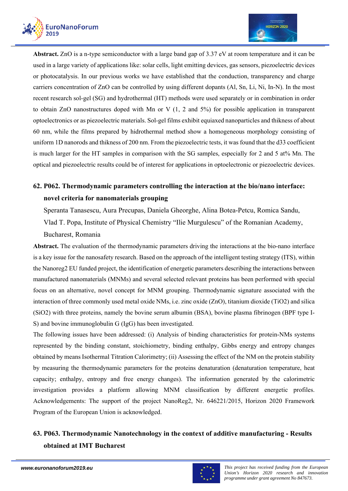

**Abstract.** ZnO is a n-type semiconductor with a large band gap of 3.37 eV at room temperature and it can be used in a large variety of applications like: solar cells, light emitting devices, gas sensors, piezoelectric devices or photocatalysis. In our previous works we have established that the conduction, transparency and charge carriers concentration of ZnO can be controlled by using different dopants (Al, Sn, Li, Ni, In-N). In the most recent research sol-gel (SG) and hydrothermal (HT) methods were used separately or in combination in order to obtain ZnO nanostructures doped with Mn or V (1, 2 and 5%) for possible application in transparent optoelectronics or as piezoelectric materials. Sol-gel films exhibit equiaxed nanoparticles and thikness of about 60 nm, while the films prepared by hidrothermal method show a homogeneous morphology consisting of uniform 1D nanorods and thikness of 200 nm. From the piezoelectric tests, it was found that the d33 coefficient is much larger for the HT samples in comparison with the SG samples, especially for 2 and 5 at% Mn. The optical and piezoelectric results could be of interest for applications in optoelectronic or piezoelectric devices.

# **62. P062. Thermodynamic parameters controlling the interaction at the bio/nano interface: novel criteria for nanomaterials grouping**

Speranta Tanasescu, Aura Precupas, Daniela Gheorghe, Alina Botea-Petcu, Romica Sandu, Vlad T. Popa, Institute of Physical Chemistry "Ilie Murgulescu" of the Romanian Academy, Bucharest, Romania

**Abstract.** The evaluation of the thermodynamic parameters driving the interactions at the bio-nano interface is a key issue for the nanosafety research. Based on the approach of the intelligent testing strategy (ITS), within the Nanoreg2 EU funded project, the identification of energetic parameters describing the interactions between manufactured nanomaterials (MNMs) and several selected relevant proteins has been performed with special focus on an alternative, novel concept for MNM grouping. Thermodynamic signature associated with the interaction of three commonly used metal oxide NMs, i.e. zinc oxide (ZnO), titanium dioxide (TiO2) and silica (SiO2) with three proteins, namely the bovine serum albumin (BSA), bovine plasma fibrinogen (BPF type I-S) and bovine immunoglobulin G (IgG) has been investigated.

The following issues have been addressed: (i) Analysis of binding characteristics for protein-NMs systems represented by the binding constant, stoichiometry, binding enthalpy, Gibbs energy and entropy changes obtained by means Isothermal Titration Calorimetry; (ii) Assessing the effect of the NM on the protein stability by measuring the thermodynamic parameters for the proteins denaturation (denaturation temperature, heat capacity; enthalpy, entropy and free energy changes). The information generated by the calorimetric investigation provides a platform allowing MNM classification by different energetic profiles. Acknowledgements: The support of the project NanoReg2, Nr. 646221/2015, Horizon 2020 Framework Program of the European Union is acknowledged.

# **63. P063. Thermodynamic Nanotechnology in the context of additive manufacturing - Results obtained at IMT Bucharest**

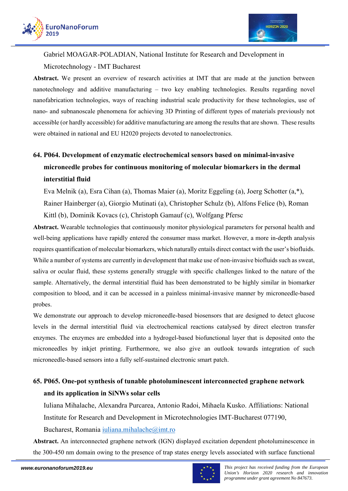



Gabriel MOAGAR-POLADIAN, National Institute for Research and Development in Microtechnology - IMT Bucharest

**Abstract.** We present an overview of research activities at IMT that are made at the junction between nanotechnology and additive manufacturing – two key enabling technologies. Results regarding novel nanofabrication technologies, ways of reaching industrial scale productivity for these technologies, use of nano- and subnanoscale phenomena for achieving 3D Printing of different types of materials previously not accessible (or hardly accessible) for additive manufacturing are among the results that are shown. These results were obtained in national and EU H2020 projects devoted to nanoelectronics.

# **64. P064. Development of enzymatic electrochemical sensors based on minimal-invasive microneedle probes for continuous monitoring of molecular biomarkers in the dermal interstitial fluid**

Eva Melnik (a), Esra Cihan (a), Thomas Maier (a), Moritz Eggeling (a), Joerg Schotter (a,\*), Rainer Hainberger (a), Giorgio Mutinati (a), Christopher Schulz (b), Alfons Felice (b), Roman Kittl (b), Dominik Kovacs (c), Christoph Gamauf (c), Wolfgang Pfersc

**Abstract.** Wearable technologies that continuously monitor physiological parameters for personal health and well-being applications have rapidly entered the consumer mass market. However, a more in-depth analysis requires quantification of molecular biomarkers, which naturally entails direct contact with the user's biofluids. While a number of systems are currently in development that make use of non-invasive biofluids such as sweat, saliva or ocular fluid, these systems generally struggle with specific challenges linked to the nature of the sample. Alternatively, the dermal interstitial fluid has been demonstrated to be highly similar in biomarker composition to blood, and it can be accessed in a painless minimal-invasive manner by microneedle-based probes.

We demonstrate our approach to develop microneedle-based biosensors that are designed to detect glucose levels in the dermal interstitial fluid via electrochemical reactions catalysed by direct electron transfer enzymes. The enzymes are embedded into a hydrogel-based biofunctional layer that is deposited onto the microneedles by inkjet printing. Furthermore, we also give an outlook towards integration of such microneedle-based sensors into a fully self-sustained electronic smart patch.

# **65. P065. One-pot synthesis of tunable photoluminescent interconnected graphene network and its application in SiNWs solar cells**

Iuliana Mihalache, Alexandra Purcarea, Antonio Radoi, Mihaela Kusko. Affiliations: National Institute for Research and Development in Microtechnologies IMT-Bucharest 077190,

Bucharest, Romania iuliana.mihalache@imt.ro

**Abstract.** An interconnected graphene network (IGN) displayed excitation dependent photoluminescence in the 300-450 nm domain owing to the presence of trap states energy levels associated with surface functional

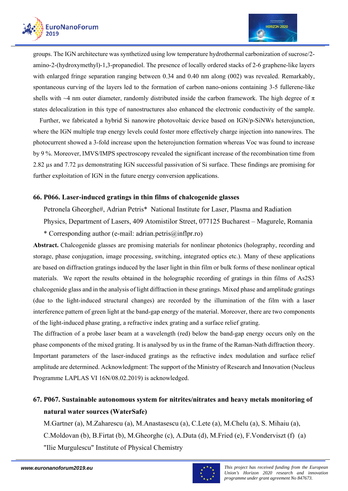

groups. The IGN architecture was synthetized using low temperature hydrothermal carbonization of sucrose/2 amino-2-(hydroxymethyl)-1,3-propanediol. The presence of locally ordered stacks of 2-6 graphene-like layers with enlarged fringe separation ranging between 0.34 and 0.40 nm along (002) was revealed. Remarkably, spontaneous curving of the layers led to the formation of carbon nano-onions containing 3-5 fullerene-like shells with  $\sim$ 4 nm outer diameter, randomly distributed inside the carbon framework. The high degree of  $\pi$ states delocalization in this type of nanostructures also enhanced the electronic conductivity of the sample.

 Further, we fabricated a hybrid Si nanowire photovoltaic device based on IGN/p-SiNWs heterojunction, where the IGN multiple trap energy levels could foster more effectively charge injection into nanowires. The photocurrent showed a 3-fold increase upon the heterojunction formation whereas Voc was found to increase by 9 %. Moreover, IMVS/IMPS spectroscopy revealed the significant increase of the recombination time from 2.82 µs and 7.72 µs demonstrating IGN successful passivation of Si surface. These findings are promising for further exploitation of IGN in the future energy conversion applications.

### **66. P066. Laser-induced gratings in thin films of chalcogenide glasses**

Petronela Gheorghe#, Adrian Petris\* National Institute for Laser, Plasma and Radiation

Physics, Department of Lasers, 409 Atomistilor Street, 077125 Bucharest – Magurele, Romania

\* Corresponding author (e-mail: adrian.petris@inflpr.ro)

**Abstract.** Chalcogenide glasses are promising materials for nonlinear photonics (holography, recording and storage, phase conjugation, image processing, switching, integrated optics etc.). Many of these applications are based on diffraction gratings induced by the laser light in thin film or bulk forms of these nonlinear optical materials. We report the results obtained in the holographic recording of gratings in thin films of As2S3 chalcogenide glass and in the analysis of light diffraction in these gratings. Mixed phase and amplitude gratings (due to the light-induced structural changes) are recorded by the illumination of the film with a laser interference pattern of green light at the band-gap energy of the material. Moreover, there are two components of the light-induced phase grating, a refractive index grating and a surface relief grating.

The diffraction of a probe laser beam at a wavelength (red) below the band-gap energy occurs only on the phase components of the mixed grating. It is analysed by us in the frame of the Raman-Nath diffraction theory. Important parameters of the laser-induced gratings as the refractive index modulation and surface relief amplitude are determined. Acknowledgment: The support of the Ministry of Research and Innovation (Nucleus Programme LAPLAS VI 16N/08.02.2019) is acknowledged.

# **67. P067. Sustainable autonomous system for nitrites/nitrates and heavy metals monitoring of natural water sources (WaterSafe)**

M.Gartner (a), M.Zaharescu (a), M.Anastasescu (a), C.Lete (a), M.Chelu (a), S. Mihaiu (a), C.Moldovan (b), B.Firtat (b), M.Gheorghe (c), A.Duta (d), M.Fried (e), F.Vonderviszt (f) (a) "Ilie Murgulescu" Institute of Physical Chemistry

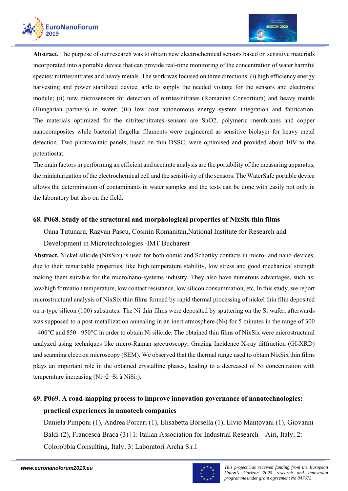



**Abstract.** The purpose of our research was to obtain new electrochemical sensors based on sensitive materials incorporated into a portable device that can provide real-time monitoring of the concentration of water harmful species: nitrites/nitrates and heavy metals. The work was focused on three directions: (i) high efficiency energy harvesting and power stabilized device, able to supply the needed voltage for the sensors and electronic module; (ii) new microsensors for detection of nitrites/nitrates (Romanian Consortium) and heavy metals (Hungarian partners) in water; (iii) low cost autonomous energy system integration and fabrication. The materials optimized for the nitrites/nitrates sensors are SnO2, polymeric membranes and copper nanocomposites while bacterial flagellar filaments were engineered as sensitive biolayer for heavy metal detection. Two photovoltaic panels, based on thin DSSC, were optimised and provided about 10V to the potentiostat.

The main factors in performing an efficient and accurate analysis are the portability of the measuring apparatus, the miniaturization of the electrochemical cell and the sensitivity of the sensors. The WaterSafe portable device allows the determination of contaminants in water samples and the tests can be done with easily not only in the laboratory but also on the field.

### **68. P068. Study of the structural and morphological properties of NixSix thin films**

Oana Tutunaru, Razvan Pascu, Cosmin Romanitan,National Institute for Research and

Development in Microtechnologies -IMT Bucharest

**Abstract.** Nickel silicide (NixSix) is used for both ohmic and Schottky contacts in micro- and nano-devices, due to their remarkable properties, like high temperature stability, low stress and good mechanical strength making them suitable for the micro/nano-systems industry. They also have numerous advantages, such as: low/high formation temperature, low contact resistance, low silicon consummation, etc. In this study, we report microstructural analysis of NixSix thin films formed by rapid thermal processing of nickel thin film deposited on n-type silicon (100) substrates. The Ni thin films were deposited by sputtering on the Si wafer, afterwards was supposed to a post-metallization annealing in an inert atmosphere  $(N_2)$  for 5 minutes in the range of 300  $-400^{\circ}$ C and 850 - 950°C in order to obtain Ni silicide. The obtained thin films of NixSix were microstructural analyzed using techniques like micro-Raman spectroscopy, Grazing Incidence X-ray diffraction (GI-XRD) and scanning electron microscopy (SEM). We observed that the thermal range used to obtain NixSix thin films plays an important role in the obtained crystalline phases, leading to a decreased of Ni concentration with temperature increasing (Ni $\neg$ 2 $\neg$ Si à NiSi<sub>2</sub>).

# **69. P069. A road-mapping process to improve innovation governance of nanotechnologies: practical experiences in nanotech companies**

Daniela Pimponi (1), Andrea Porcari (1), Elisabetta Borsella (1), Elvio Mantovani (1), Giovanni Baldi (2), Francesca Braca (3) [1: Italian Association for Industrial Research – Airi, Italy; 2: Colorobbia Consulting, Italy; 3: Laboratori Archa S.r.l

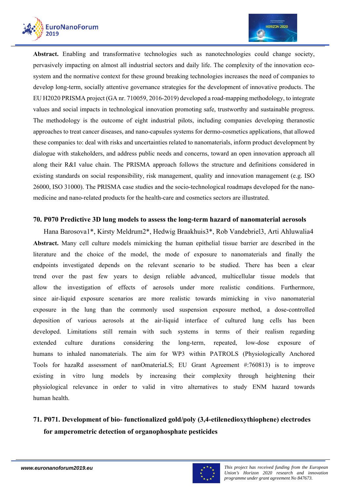



**Abstract.** Enabling and transformative technologies such as nanotechnologies could change society, pervasively impacting on almost all industrial sectors and daily life. The complexity of the innovation ecosystem and the normative context for these ground breaking technologies increases the need of companies to develop long-term, socially attentive governance strategies for the development of innovative products. The EU H2020 PRISMA project (GA nr. 710059, 2016-2019) developed a road-mapping methodology, to integrate values and social impacts in technological innovation promoting safe, trustworthy and sustainable progress. The methodology is the outcome of eight industrial pilots, including companies developing theranostic approaches to treat cancer diseases, and nano-capsules systems for dermo-cosmetics applications, that allowed these companies to: deal with risks and uncertainties related to nanomaterials, inform product development by dialogue with stakeholders, and address public needs and concerns, toward an open innovation approach all along their R&I value chain. The PRISMA approach follows the structure and definitions considered in existing standards on social responsibility, risk management, quality and innovation management (e.g. ISO 26000, ISO 31000). The PRISMA case studies and the socio-technological roadmaps developed for the nanomedicine and nano-related products for the health-care and cosmetics sectors are illustrated.

### **70. P070 Predictive 3D lung models to assess the long-term hazard of nanomaterial aerosols**

Hana Barosova1\*, Kirsty Meldrum2\*, Hedwig Braakhuis3\*, Rob Vandebriel3, Arti Ahluwalia4 **Abstract.** Many cell culture models mimicking the human epithelial tissue barrier are described in the literature and the choice of the model, the mode of exposure to nanomaterials and finally the endpoints investigated depends on the relevant scenario to be studied. There has been a clear trend over the past few years to design reliable advanced, multicellular tissue models that allow the investigation of effects of aerosols under more realistic conditions. Furthermore, since air-liquid exposure scenarios are more realistic towards mimicking in vivo nanomaterial exposure in the lung than the commonly used suspension exposure method, a dose-controlled deposition of various aerosols at the air-liquid interface of cultured lung cells has been developed. Limitations still remain with such systems in terms of their realism regarding extended culture durations considering the long-term, repeated, low-dose exposure of humans to inhaled nanomaterials. The aim for WP3 within PATROLS (Physiologically Anchored Tools for hazaRd assessment of nanOmateriaLS; EU Grant Agreement #:760813) is to improve existing in vitro lung models by increasing their complexity through heightening their physiological relevance in order to valid in vitro alternatives to study ENM hazard towards human health.

# **71. P071. Development of bio- functionalized gold/poly (3,4-etilenedioxythiophene) electrodes for amperometric detection of organophosphate pesticides**

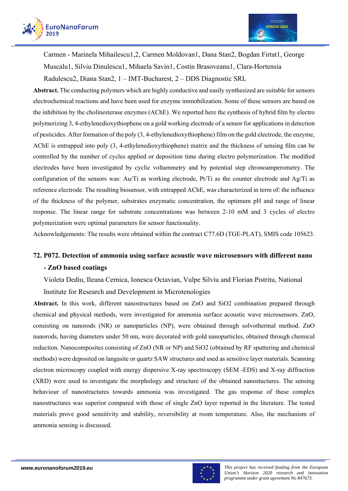



Carmen - Marinela Mihailescu1,2, Carmen Moldovan1, Dana Stan2, Bogdan Firtat1, George Muscalu1, Silviu Dinulescu1, Mihaela Savin1, Costin Brasoveanu1, Clara-Hortensia

Radulescu2, Diana Stan2, 1 – IMT-Bucharest, 2 – DDS Diagnostic SRL

**Abstract.** The conducting polymers which are highly conductive and easily synthesized are suitable for sensors electrochemical reactions and have been used for enzyme immobilization. Some of these sensors are based on the inhibition by the cholinesterase enzymes (AChE). We reported here the synthesis of hybrid film by electro polymerizing 3, 4-ethylenedioxythiophene on a gold working electrode of a sensor for applications in detection of pesticides. After formation of the poly (3, 4-ethylenedioxythiophene) film on the gold electrode, the enzyme, AChE is entrapped into poly (3, 4-ethylenedioxythiophene) matrix and the thickness of sensing film can be controlled by the number of cycles applied or deposition time during electro polymerization. The modified electrodes have been investigated by cyclic voltammetry and by potential step chronoamperometry. The configuration of the sensors was: Au/Ti as working electrode, Pt/Ti as the counter electrode and Ag/Ti as reference electrode. The resulting biosensor, with entrapped AChE, was characterized in term of: the influence of the thickness of the polymer, substrates enzymatic concentration, the optimum pH and range of linear response. The linear range for substrate concentrations was between 2-10 mM and 3 cycles of electro polymerization were optimal parameters for sensor functionality.

Acknowledgements: The results were obtained within the contract C77.6D (TGE-PLAT), SMIS code 105623.

# **72. P072. Detection of ammonia using surface acoustic wave microsensors with different nano - ZnO based coatings**

Violeta Dediu, Ileana Cernica, Ionescu Octavian, Vulpe Silviu and Florian Pistritu, National

Institute for Research and Development in Microtenologies

**Abstract.** In this work, different nanostructures based on ZnO and SiO2 combination prepared through chemical and physical methods, were investigated for ammonia surface acoustic wave microsensors. ZnO, consisting on nanorods (NR) or nanoparticles (NP), were obtained through solvothermal method. ZnO nanorods, having diameters under 50 nm, were decorated with gold nanoparticles, obtained through chemical reduction. Nanocomposites consisting of ZnO (NR or NP) and SiO2 (obtained by RF sputtering and chemical methods) were deposited on langasite or quartz SAW structures and used as sensitive layer materials. Scanning electron microscopy coupled with energy dispersive X-ray spectroscopy (SEM -EDS) and X-ray diffraction (XRD) were used to investigate the morphology and structure of the obtained nanostuctures. The sensing behaviour of nanostructures towards ammonia was investigated. The gas response of these complex nanostructures was superior compared with those of single ZnO layer reported in the literature. The tested materials prove good sensitivity and stability, reversibility at room temperature. Also, the mechanism of ammonia sensing is discussed.

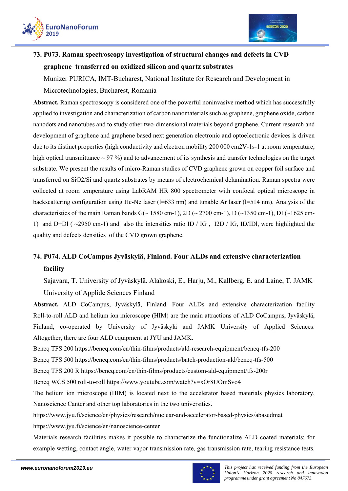



# **73. P073. Raman spectroscopy investigation of structural changes and defects in CVD graphene transferred on oxidized silicon and quartz substrates**

Munizer PURICA, IMT-Bucharest, National Institute for Research and Development in

### Microtechnologies, Bucharest, Romania

**Abstract.** Raman spectroscopy is considered one of the powerful noninvasive method which has successfully applied to investigation and characterization of carbon nanomaterials such as graphene, graphene oxide, carbon nanodots and nanotubes and to study other two-dimensional materials beyond graphene. Current research and development of graphene and graphene based next generation electronic and optoelectronic devices is driven due to its distinct properties (high conductivity and electron mobility 200 000 cm2V-1s-1 at room temperature, high optical transmittance  $\sim$  97 %) and to advancement of its synthesis and transfer technologies on the target substrate. We present the results of micro-Raman studies of CVD graphene grown on copper foil surface and transferred on SiO2/Si and quartz substrates by means of electrochemical delamination. Raman spectra were collected at room temperature using LabRAM HR 800 spectrometer with confocal optical microscope in backscattering configuration using He-Ne laser ( $l=633$  nm) and tunable Ar laser ( $l=514$  nm). Analysis of the characteristics of the main Raman bands G( $\sim$  1580 cm-1), 2D ( $\sim$  2700 cm-1), D ( $\sim$  1350 cm-1), DI ( $\sim$  1625 cm-1) and D+Dl ( $\sim$ 2950 cm-1) and also the intensities ratio ID / IG, I2D / IG, ID/IDl, were highlighted the quality and defects densities of the CVD grown graphene.

# **74. P074. ALD CoCampus Jyväskylä, Finland. Four ALDs and extensive characterization facility**

Sajavara, T. University of Jyväskylä. Alakoski, E., Harju, M., Kallberg, E. and Laine, T. JAMK University of Applide Sciences Finland

**Abstract.** ALD CoCampus, Jyväskylä, Finland. Four ALDs and extensive characterization facility Roll-to-roll ALD and helium ion microscope (HIM) are the main attractions of ALD CoCampus, Jyväskylä, Finland, co-operated by University of Jyväskylä and JAMK University of Applied Sciences. Altogether, there are four ALD equipment at JYU and JAMK.

Beneq TFS 200 https://beneq.com/en/thin-films/products/ald-research-equipment/beneq-tfs-200

Beneq TFS 500 https://beneq.com/en/thin-films/products/batch-production-ald/beneq-tfs-500

Beneq TFS 200 R https://beneq.com/en/thin-films/products/custom-ald-equipment/tfs-200r

Beneq WCS 500 roll-to-roll https://www.youtube.com/watch?v=xOr8UOmSvo4

The helium ion microscope (HIM) is located next to the accelerator based materials physics laboratory, Nanoscience Canter and other top laboratories in the two universities.

https://www.jyu.fi/science/en/physics/research/nuclear-and-accelerator-based-physics/abasedmat

https://www.jyu.fi/science/en/nanoscience-center

Materials research facilities makes it possible to characterize the functionalize ALD coated materials; for example wetting, contact angle, water vapor transmission rate, gas transmission rate, tearing resistance tests.

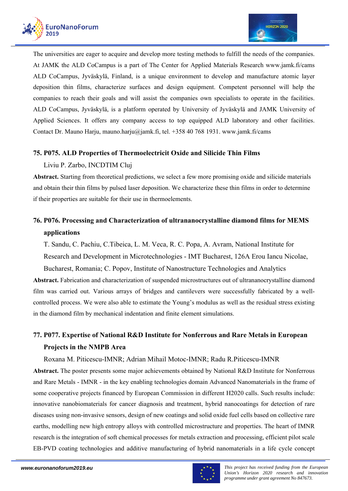

The universities are eager to acquire and develop more testing methods to fulfill the needs of the companies. At JAMK the ALD CoCampus is a part of The Center for Applied Materials Research www.jamk.fi/cams ALD CoCampus, Jyväskylä, Finland, is a unique environment to develop and manufacture atomic layer deposition thin films, characterize surfaces and design equipment. Competent personnel will help the companies to reach their goals and will assist the companies own specialists to operate in the facilities. ALD CoCampus, Jyväskylä, is a platform operated by University of Jyväskylä and JAMK University of Applied Sciences. It offers any company access to top equipped ALD laboratory and other facilities. Contact Dr. Mauno Harju, mauno.harju@jamk.fi, tel. +358 40 768 1931. www.jamk.fi/cams

### **75. P075. ALD Properties of Thermoelectricit Oxide and Silicide Thin Films**

### Liviu P. Zarbo, INCDTIM Cluj

**Abstract.** Starting from theoretical predictions, we select a few more promising oxide and silicide materials and obtain their thin films by pulsed laser deposition. We characterize these thin films in order to determine if their properties are suitable for their use in thermoelements.

# **76. P076. Processing and Characterization of ultrananocrystalline diamond films for MEMS applications**

T. Sandu, C. Pachiu, C.Tibeica, L. M. Veca, R. C. Popa, A. Avram, National Institute for Research and Development in Microtechnologies - IMT Bucharest, 126A Erou Iancu Nicolae,

Bucharest, Romania; C. Popov, Institute of Nanostructure Technologies and Analytics **Abstract.** Fabrication and characterization of suspended microstructures out of ultrananocrystalline diamond film was carried out. Various arrays of bridges and cantilevers were successfully fabricated by a wellcontrolled process. We were also able to estimate the Young's modulus as well as the residual stress existing in the diamond film by mechanical indentation and finite element simulations.

# **77. P077. Expertise of National R&D Institute for Nonferrous and Rare Metals in European Projects in the NMPB Area**

Roxana M. Piticescu-IMNR; Adrian Mihail Motoc-IMNR; Radu R.Piticescu-IMNR

**Abstract.** The poster presents some major achievements obtained by National R&D Institute for Nonferrous and Rare Metals - IMNR - in the key enabling technologies domain Advanced Nanomaterials in the frame of some cooperative projects financed by European Commission in different H2020 calls. Such results include: innovative nanobiomaterials for cancer diagnosis and treatment, hybrid nanocoatings for detection of rare diseases using non-invasive sensors, design of new coatings and solid oxide fuel cells based on collective rare earths, modelling new high entropy alloys with controlled microstructure and properties. The heart of IMNR research is the integration of soft chemical processes for metals extraction and processing, efficient pilot scale EB-PVD coating technologies and additive manufacturing of hybrid nanomaterials in a life cycle concept

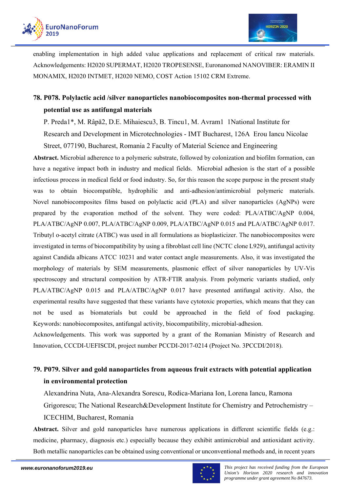

enabling implementation in high added value applications and replacement of critical raw materials. Acknowledgements: H2020 SUPERMAT, H2020 TROPESENSE, Euronanomed NANOVIBER: ERAMIN II MONAMIX, H2020 INTMET, H2020 NEMO, COST Action 15102 CRM Extreme.

# **78. P078. Polylactic acid /silver nanoparticles nanobiocomposites non-thermal processed with potential use as antifungal materials**

P. Preda1\*, M. Râpă2, D.E. Mihaiescu3, B. Tincu1, M. Avram1 1National Institute for

Research and Development in Microtechnologies - IMT Bucharest, 126A Erou Iancu Nicolae

Street, 077190, Bucharest, Romania 2 Faculty of Material Science and Engineering

**Abstract.** Microbial adherence to a polymeric substrate, followed by colonization and biofilm formation, can have a negative impact both in industry and medical fields. Microbial adhesion is the start of a possible infectious process in medical field or food industry. So, for this reason the scope purpose in the present study was to obtain biocompatible, hydrophilic and anti-adhesion/antimicrobial polymeric materials. Novel nanobiocomposites films based on polylactic acid (PLA) and silver nanoparticles (AgNPs) were prepared by the evaporation method of the solvent. They were coded: PLA/ATBC/AgNP 0.004, PLA/ATBC/AgNP 0.007, PLA/ATBC/AgNP 0.009, PLA/ATBC/AgNP 0.015 and PLA/ATBC/AgNP 0.017. Tributyl o-acetyl citrate (ATBC) was used in all formulations as bioplasticizer. The nanobiocomposites were investigated in terms of biocompatibility by using a fibroblast cell line (NCTC clone L929), antifungal activity against Candida albicans ATCC 10231 and water contact angle measurements. Also, it was investigated the morphology of materials by SEM measurements, plasmonic effect of silver nanoparticles by UV-Vis spectroscopy and structural composition by ATR-FTIR analysis. From polymeric variants studied, only PLA/ATBC/AgNP 0.015 and PLA/ATBC/AgNP 0.017 have presented antifungal activity. Also, the experimental results have suggested that these variants have cytotoxic properties, which means that they can not be used as biomaterials but could be approached in the field of food packaging. Keywords: nanobiocomposites, antifungal activity, biocompatibility, microbial-adhesion.

Acknowledgements. This work was supported by a grant of the Romanian Ministry of Research and Innovation, CCCDI-UEFISCDI, project number PCCDI-2017-0214 (Project No. 3PCCDI/2018).

# **79. P079. Silver and gold nanoparticles from aqueous fruit extracts with potential application in environmental protection**

Alexandrina Nuta, Ana-Alexandra Sorescu, Rodica-Mariana Ion, Lorena Iancu, Ramona Grigorescu; The National Research&Development Institute for Chemistry and Petrochemistry – ICECHIM, Bucharest, Romania

**Abstract.** Silver and gold nanoparticles have numerous applications in different scientific fields (e.g.: medicine, pharmacy, diagnosis etc.) especially because they exhibit antimicrobial and antioxidant activity. Both metallic nanoparticles can be obtained using conventional or unconventional methods and, in recent years

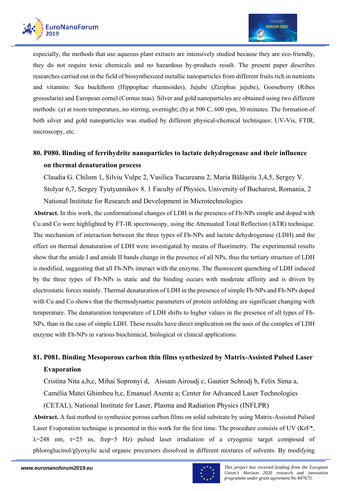

especially, the methods that use aqueous plant extracts are intensively studied because they are eco-friendly, they do not require toxic chemicals and no hazardous by-products result. The present paper describes researches carried out in the field of biosynthesized metallic nanoparticles from different fruits rich in nutrients and vitamins: Sea buckthorn (Hippophae rhamnoides), Jujube (Ziziphus jujube), Gooseberry (Ribes grossularia) and European cornel (Cornus mas). Silver and gold nanoparticles are obtained using two different methods: (a) at room temperature, no stirring, overnight; (b) at 500 C, 600 rpm, 30 minutes. The formation of both silver and gold nanoparticles was studied by different physical-chemical techniques: UV-Vis, FTIR, microscopy, etc.

# **80. P080. Binding of ferrihydrite nanoparticles to lactate dehydrogenase and their influence on thermal denaturation process**

Claudia G. Chilom 1, Silviu Vulpe 2, Vasilica Tucureanu 2, Maria Bălăşoiu 3,4,5, Sergey V. Stolyar 6,7, Sergey Tyutyunnikov 8. 1 Faculty of Physics, University of Bucharest, Romania, 2 National Institute for Research and Development in Microtechnologies

**Abstract.** In this work, the conformational changes of LDH in the presence of Fh-NPs simple and doped with Cu and Co were highlighted by FT-IR spectroscopy, using the Attenuated Total Reflection (ATR) technique. The mechanism of interaction between the three types of Fh-NPs and lactate dehydrogenase (LDH) and the effect on thermal denaturation of LDH were investigated by means of fluorimetry. The experimental results show that the amide I and amide II bands change in the presence of all NPs, thus the tertiary structure of LDH is modified, suggesting that all Fh-NPs interact with the enzyme. The fluorescent quenching of LDH induced by the three types of Fh-NPs is static and the binding occurs with moderate affinity and is driven by electrostatic forces mainly. Thermal denaturation of LDH in the presence of simple Fh-NPs and Fh-NPs doped with Cu and Co shows that the thermodynamic parameters of protein unfolding are significant changing with temperature. The denaturation temperature of LDH shifts to higher values in the presence of all types of Fh-NPs, than in the case of simple LDH. These results have direct implication on the uses of the complex of LDH enzyme with Fh-NPs in various biochimical, biological or clinical applications.

# **81. P081. Binding Mesoporous carbon thin films synthesized by Matrix-Assisted Pulsed Laser Evaporation**

Cristina Nita a,b,c, Mihai Sopronyi d, Aissam Airoudj c, Gautier Schrodj b, Felix Sima a, Camélia Matei Ghimbeu b,c, Emanuel Axente a; Center for Advanced Laser Technologies (CETAL), National Institute for Laser, Plasma and Radiation Physics (INFLPR)

**Abstract.** A fast method to synthesize porous carbon films on solid substrate by using Matrix-Assisted Pulsed Laser Evaporation technique is presented in this work for the first time. The procedure consists of UV (KrF\*,  $\lambda$ =248 nm,  $\tau$ =25 ns, frep=5 Hz) pulsed laser irradiation of a cryogenic target composed of phloroglucinol/glyoxylic acid organic precursors dissolved in different mixtures of solvents. By modifying

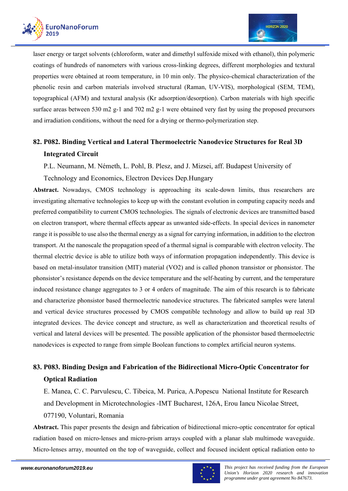

laser energy or target solvents (chloroform, water and dimethyl sulfoxide mixed with ethanol), thin polymeric coatings of hundreds of nanometers with various cross-linking degrees, different morphologies and textural properties were obtained at room temperature, in 10 min only. The physico-chemical characterization of the phenolic resin and carbon materials involved structural (Raman, UV-VIS), morphological (SEM, TEM), topographical (AFM) and textural analysis (Kr adsorption/desorption). Carbon materials with high specific surface areas between 530 m2 g-1 and 702 m2 g-1 were obtained very fast by using the proposed precursors and irradiation conditions, without the need for a drying or thermo-polymerization step.

# **82. P082. Binding Vertical and Lateral Thermoelectric Nanodevice Structures for Real 3D Integrated Circuit**

P.L. Neumann, M. Németh, L. Pohl, B. Plesz, and J. Mizsei, aff. Budapest University of

Technology and Economics, Electron Devices Dep.Hungary

**Abstract.** Nowadays, CMOS technology is approaching its scale-down limits, thus researchers are investigating alternative technologies to keep up with the constant evolution in computing capacity needs and preferred compatibility to current CMOS technologies. The signals of electronic devices are transmitted based on electron transport, where thermal effects appear as unwanted side-effects. In special devices in nanometer range it is possible to use also the thermal energy as a signal for carrying information, in addition to the electron transport. At the nanoscale the propagation speed of a thermal signal is comparable with electron velocity. The thermal electric device is able to utilize both ways of information propagation independently. This device is based on metal-insulator transition (MIT) material (VO2) and is called phonon transistor or phonsistor. The phonsistor's resistance depends on the device temperature and the self-heating by current, and the temperature induced resistance change aggregates to 3 or 4 orders of magnitude. The aim of this research is to fabricate and characterize phonsistor based thermoelectric nanodevice structures. The fabricated samples were lateral and vertical device structures processed by CMOS compatible technology and allow to build up real 3D integrated devices. The device concept and structure, as well as characterization and theoretical results of vertical and lateral devices will be presented. The possible application of the phonsistor based thermoelectric nanodevices is expected to range from simple Boolean functions to complex artificial neuron systems.

# **83. P083. Binding Design and Fabrication of the Bidirectional Micro-Optic Concentrator for Optical Radiation**

E. Manea, C. C. Parvulescu, C. Tibeica, M. Purica, A.Popescu National Institute for Research and Development in Microtechnologies -IMT Bucharest, 126A, Erou Iancu Nicolae Street, 077190, Voluntari, Romania

**Abstract.** This paper presents the design and fabrication of bidirectional micro-optic concentrator for optical radiation based on micro-lenses and micro-prism arrays coupled with a planar slab multimode waveguide. Micro-lenses array, mounted on the top of waveguide, collect and focused incident optical radiation onto to

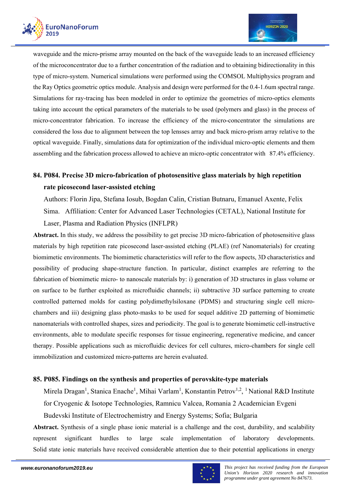



waveguide and the micro-prisme array mounted on the back of the waveguide leads to an increased efficiency of the microconcentrator due to a further concentration of the radiation and to obtaining bidirectionality in this type of micro-system. Numerical simulations were performed using the COMSOL Multiphysics program and the Ray Optics geometric optics module. Analysis and design were performed for the 0.4-1.6um spectral range. Simulations for ray-tracing has been modeled in order to optimize the geometries of micro-optics elements taking into account the optical parameters of the materials to be used (polymers and glass) in the process of micro-concentrator fabrication. To increase the efficiency of the micro-concentrator the simulations are considered the loss due to alignment between the top lensses array and back micro-prism array relative to the optical waveguide. Finally, simulations data for optimization of the individual micro-optic elements and them assembling and the fabrication process allowed to achieve an micro-optic concentrator with 87.4% efficiency.

# **84. P084. Precise 3D micro-fabrication of photosensitive glass materials by high repetition rate picosecond laser-assisted etching**

Authors: Florin Jipa, Stefana Iosub, Bogdan Calin, Cristian Butnaru, Emanuel Axente, Felix Sima. Affiliation: Center for Advanced Laser Technologies (CETAL), National Institute for Laser, Plasma and Radiation Physics (INFLPR)

**Abstract.** In this study, we address the possibility to get precise 3D micro-fabrication of photosensitive glass materials by high repetition rate picosecond laser-assisted etching (PLAE) (ref Nanomaterials) for creating biomimetic environments. The biomimetic characteristics will refer to the flow aspects, 3D characteristics and possibility of producing shape-structure function. In particular, distinct examples are referring to the fabrication of biomimetic micro- to nanoscale materials by: i) generation of 3D structures in glass volume or on surface to be further exploited as microfluidic channels; ii) subtractive 3D surface patterning to create controlled patterned molds for casting polydimethylsiloxane (PDMS) and structuring single cell microchambers and iii) designing glass photo-masks to be used for sequel additive 2D patterning of biomimetic nanomaterials with controlled shapes, sizes and periodicity. The goal is to generate biomimetic cell-instructive environments, able to modulate specific responses for tissue engineering, regenerative medicine, and cancer therapy. Possible applications such as microfluidic devices for cell cultures, micro-chambers for single cell immobilization and customized micro-patterns are herein evaluated.

### **85. P085. Findings on the synthesis and properties of perovskite-type materials**

Mirela Dragan<sup>1</sup>, Stanica Enache<sup>1</sup>, Mihai Varlam<sup>1</sup>, Konstantin Petrov<sup>1,2</sup>, <sup>1</sup> National R&D Institute for Cryogenic & Isotope Technologies, Ramnicu Valcea, Romania 2 Academician Evgeni Budevski Institute of Electrochemistry and Energy Systems; Sofia; Bulgaria

**Abstract.** Synthesis of a single phase ionic material is a challenge and the cost, durability, and scalability represent significant hurdles to large scale implementation of laboratory developments. Solid state ionic materials have received considerable attention due to their potential applications in energy

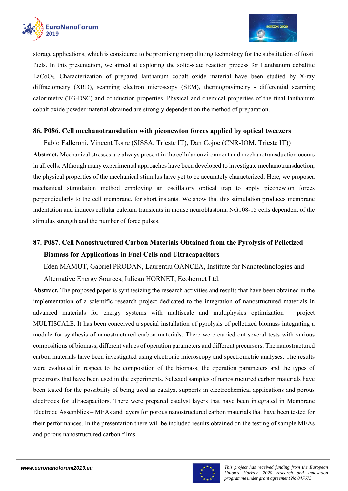

storage applications, which is considered to be promising nonpolluting technology for the substitution of fossil fuels. In this presentation, we aimed at exploring the solid-state reaction process for Lanthanum cobaltite LaCoO3. Characterization of prepared lanthanum cobalt oxide material have been studied by X-ray diffractometry (XRD), scanning electron microscopy (SEM), thermogravimetry - differential scanning calorimetry (TG-DSC) and conduction properties. Physical and chemical properties of the final lanthanum cobalt oxide powder material obtained are strongly dependent on the method of preparation.

### **86. P086. Cell mechanotransdution with piconewton forces applied by optical tweezers**

Fabio Falleroni, Vincent Torre (SISSA, Trieste IT), Dan Cojoc (CNR-IOM, Trieste IT))

**Abstract.** Mechanical stresses are always present in the cellular environment and mechanotransduction occurs in all cells. Although many experimental approaches have been developed to investigate mechanotransduction, the physical properties of the mechanical stimulus have yet to be accurately characterized. Here, we proposea mechanical stimulation method employing an oscillatory optical trap to apply piconewton forces perpendicularly to the cell membrane, for short instants. We show that this stimulation produces membrane indentation and induces cellular calcium transients in mouse neuroblastoma NG108-15 cells dependent of the stimulus strength and the number of force pulses.

# **87. P087. Cell Nanostructured Carbon Materials Obtained from the Pyrolysis of Pelletized Biomass for Applications in Fuel Cells and Ultracapacitors**

Eden MAMUT, Gabriel PRODAN, Laurentiu OANCEA, Institute for Nanotechnologies and

Alternative Energy Sources, Iuliean HORNET, Ecohornet Ltd.

**Abstract.** The proposed paper is synthesizing the research activities and results that have been obtained in the implementation of a scientific research project dedicated to the integration of nanostructured materials in advanced materials for energy systems with multiscale and multiphysics optimization – project MULTISCALE. It has been conceived a special installation of pyrolysis of pelletized biomass integrating a module for synthesis of nanostructured carbon materials. There were carried out several tests with various compositions of biomass, different values of operation parameters and different precursors. The nanostructured carbon materials have been investigated using electronic microscopy and spectrometric analyses. The results were evaluated in respect to the composition of the biomass, the operation parameters and the types of precursors that have been used in the experiments. Selected samples of nanostructured carbon materials have been tested for the possibility of being used as catalyst supports in electrochemical applications and porous electrodes for ultracapacitors. There were prepared catalyst layers that have been integrated in Membrane Electrode Assemblies – MEAs and layers for porous nanostructured carbon materials that have been tested for their performances. In the presentation there will be included results obtained on the testing of sample MEAs and porous nanostructured carbon films.

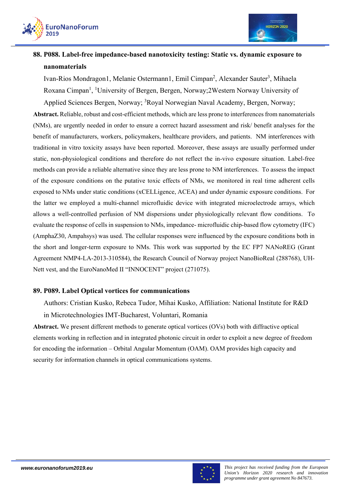



# **88. P088. Label-free impedance-based nanotoxicity testing: Static vs. dynamic exposure to nanomaterials**

Ivan-Rios Mondragon1, Melanie Ostermann1, Emil Cimpan<sup>2</sup>, Alexander Sauter<sup>3</sup>, Mihaela Roxana Cimpan<sup>1</sup>, <sup>1</sup>University of Bergen, Bergen, Norway;2Western Norway University of Applied Sciences Bergen, Norway; <sup>3</sup>Royal Norwegian Naval Academy, Bergen, Norway;

**Abstract.** Reliable, robust and cost-efficient methods, which are less prone to interferences from nanomaterials (NMs), are urgently needed in order to ensure a correct hazard assessment and risk/ benefit analyses for the benefit of manufacturers, workers, policymakers, healthcare providers, and patients. NM interferences with traditional in vitro toxicity assays have been reported. Moreover, these assays are usually performed under static, non-physiological conditions and therefore do not reflect the in-vivo exposure situation. Label-free methods can provide a reliable alternative since they are less prone to NM interferences. To assess the impact of the exposure conditions on the putative toxic effects of NMs, we monitored in real time adherent cells exposed to NMs under static conditions (xCELLigence, ACEA) and under dynamic exposure conditions. For the latter we employed a multi-channel microfluidic device with integrated microelectrode arrays, which allows a well-controlled perfusion of NM dispersions under physiologically relevant flow conditions. To evaluate the response of cells in suspension to NMs, impedance- microfluidic chip-based flow cytometry (IFC) (AmphaZ30, Ampahsys) was used. The cellular responses were influenced by the exposure conditions both in the short and longer-term exposure to NMs. This work was supported by the EC FP7 NANoREG (Grant Agreement NMP4-LA-2013-310584), the Research Council of Norway project NanoBioReal (288768), UH-Nett vest, and the EuroNanoMed II "INNOCENT" project (271075).

### **89. P089. Label Optical vortices for communications**

Authors: Cristian Kusko, Rebeca Tudor, Mihai Kusko, Affiliation: National Institute for R&D

in Microtechnologies IMT-Bucharest, Voluntari, Romania

**Abstract.** We present different methods to generate optical vortices (OVs) both with diffractive optical elements working in reflection and in integrated photonic circuit in order to exploit a new degree of freedom for encoding the information – Orbital Angular Momentum (OAM). OAM provides high capacity and security for information channels in optical communications systems.

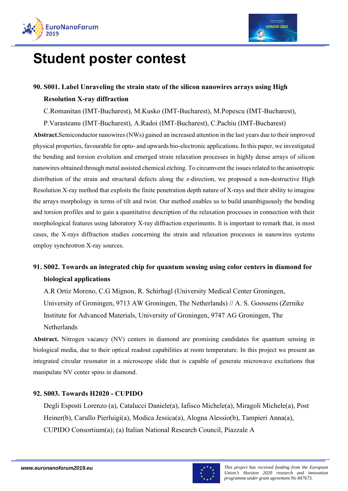

# **Student poster contest**

# **90. S001. Label Unraveling the strain state of the silicon nanowires arrays using High Resolution X-ray diffraction**

C.Romanitan (IMT-Bucharest), M.Kusko (IMT-Bucharest), M.Popescu (IMT-Bucharest),

P.Varasteanu (IMT-Bucharest), A.Radoi (IMT-Bucharest), C.Pachiu (IMT-Bucharest)

**Abstract.**Semiconductor nanowires (NWs) gained an increased attention in the last years due to their improved physical properties, favourable for opto- and upwards bio-electronic applications. In this paper, we investigated the bending and torsion evolution and emerged strain relaxation processes in highly dense arrays of silicon nanowires obtained through metal assisted chemical etching. To circumvent the issues related to the anisotropic distribution of the strain and structural defects along the z-direction, we proposed a non-destructive High Resolution X-ray method that exploits the finite penetration depth nature of X-rays and their ability to imagine the arrays morphology in terms of tilt and twist. Our method enables us to build unambiguously the bending and torsion profiles and to gain a quantitative description of the relaxation processes in connection with their morphological features using laboratory X-ray diffraction experiments. It is important to remark that, in most cases, the X-rays diffraction studies concerning the strain and relaxation processes in nanowires systems employ synchrotron X-ray sources.

# **91. S002. Towards an integrated chip for quantum sensing using color centers in diamond for biological applications**

A.R Ortiz Moreno, C.G Mignon, R. Schirhagl (University Medical Center Groningen, University of Groningen, 9713 AW Groningen, The Netherlands) // A. S. Goossens (Zernike Institute for Advanced Materials, University of Groningen, 9747 AG Groningen, The Netherlands

**Abstract.** Nitrogen vacancy (NV) centers in diamond are promising candidates for quantum sensing in biological media, due to their optical readout capabilities at room temperature. In this project we present an integrated circular resonator in a microscope slide that is capable of generate microwave excitations that manipulate NV center spins in diamond.

### **92. S003. Towards H2020 - CUPIDO**

Degli Esposti Lorenzo (a), Catalucci Daniele(a), Iafisco Michele(a), Miragoli Michele(a), Post Heiner(b), Carullo Pierluigi(a), Modica Jessica(a), Alogna Alessio(b), Tampieri Anna(a), CUPIDO Consortium(a); (a) Italian National Research Council, Piazzale A

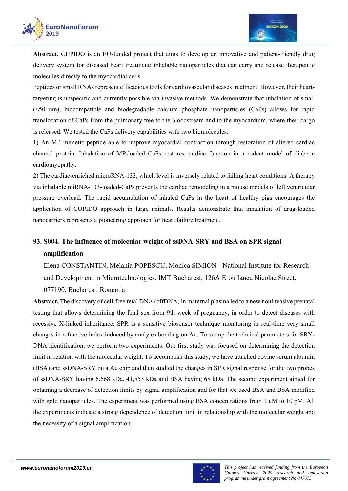

**Abstract.** CUPIDO is an EU-funded project that aims to develop an innovative and patient-friendly drug delivery system for diseased heart treatment: inhalable nanoparticles that can carry and release therapeutic molecules directly to the myocardial cells.

Peptides or small RNAs represent efficacious tools for cardiovascular diseases treatment. However, their hearttargeting is unspecific and currently possible via invasive methods. We demonstrate that inhalation of small (<50 nm), biocompatible and biodegradable calcium phosphate nanoparticles (CaPs) allows for rapid translocation of CaPs from the pulmonary tree to the bloodstream and to the myocardium, where their cargo is released. We tested the CaPs delivery capabilities with two biomolecules:

1) An MP mimetic peptide able to improve myocardial contraction through restoration of altered cardiac channel protein. Inhalation of MP-loaded CaPs restores cardiac function in a rodent model of diabetic cardiomyopathy.

2) The cardiac-enriched microRNA-133, which level is inversely related to failing heart conditions. A therapy via inhalable miRNA-133-loaded-CaPs prevents the cardiac remodeling in a mouse models of left ventricular pressure overload. The rapid accumulation of inhaled CaPs in the heart of healthy pigs encourages the application of CUPIDO approach in large animals. Results demonstrate that inhalation of drug-loaded nanocarriers represents a pioneering approach for heart failure treatment.

# **93. S004. The influence of molecular weight of ssDNA-SRY and BSA on SPR signal amplification**

Elena CONSTANTIN, Melania POPESCU, Monica SIMION - National Institute for Research and Development in Microtechnologies, IMT Bucharest, 126A Erou Iancu Nicolae Street, 077190, Bucharest, Romania

**Abstract.** The discovery of cell-free fetal DNA (cffDNA) in maternal plasma led to a new noninvasive prenatal testing that allows determining the fetal sex from 9th week of pregnancy, in order to detect diseases with recessive X-linked inheritance. SPR is a sensitive biosensor technique monitoring in real-time very small changes in refractive index induced by analytes bonding on Au. To set up the technical parameters for SRY-DNA identification, we perform two experiments. Our first study was focused on determining the detection limit in relation with the molecular weight. To accomplish this study, we have attached bovine serum albumin (BSA) and ssDNA-SRY on a Au chip and then studied the changes in SPR signal response for the two probes of ssDNA-SRY having 6,668 kDa, 41,553 kDa and BSA having 68 kDa. The second experiment aimed for obtaining a decrease of detection limits by signal amplification and for that we used BSA and BSA modified with gold nanoparticles. The experiment was performed using BSA concentrations from 1 uM to 10 pM. All the experiments indicate a strong dependence of detection limit in relationship with the molecular weight and the necessity of a signal amplification.

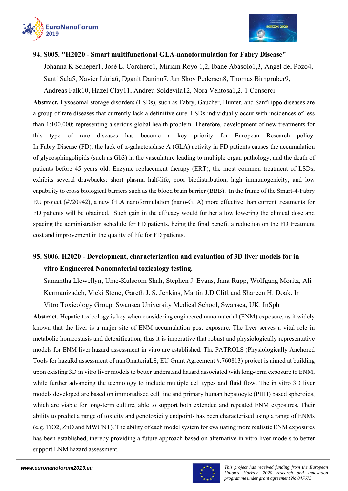



### **94. S005. "H2020 - Smart multifunctional GLA-nanoformulation for Fabry Disease"**

Johanna K Scheper1, José L. Corchero1, Miriam Royo 1,2, Ibane Abásolo1,3, Angel del Pozo4, Santi Sala5, Xavier Lúria6, Dganit Danino7, Jan Skov Pedersen8, Thomas Birngruber9,

Andreas Falk10, Hazel Clay11, Andreu Soldevila12, Nora Ventosa1,2. 1 Consorci

**Abstract.** Lysosomal storage disorders (LSDs), such as Fabry, Gaucher, Hunter, and Sanfilippo diseases are a group of rare diseases that currently lack a definitive cure. LSDs individually occur with incidences of less than 1:100,000; representing a serious global health problem. Therefore, development of new treatments for this type of rare diseases has become a key priority for European Research policy. In Fabry Disease (FD), the lack of α-galactosidase A (GLA) activity in FD patients causes the accumulation of glycosphingolipids (such as Gb3) in the vasculature leading to multiple organ pathology, and the death of patients before 45 years old. Enzyme replacement therapy (ERT), the most common treatment of LSDs, exhibits several drawbacks: short plasma half-life, poor biodistribution, high immunogenicity, and low capability to cross biological barriers such as the blood brain barrier (BBB). In the frame of the Smart-4-Fabry EU project (#720942), a new GLA nanoformulation (nano-GLA) more effective than current treatments for FD patients will be obtained. Such gain in the efficacy would further allow lowering the clinical dose and spacing the administration schedule for FD patients, being the final benefit a reduction on the FD treatment cost and improvement in the quality of life for FD patients.

# **95. S006. H2020 - Development, characterization and evaluation of 3D liver models for in vitro Engineered Nanomaterial toxicology testing.**

Samantha Llewellyn, Ume-Kulsoom Shah, Stephen J. Evans, Jana Rupp, Wolfgang Moritz, Ali Kermanizadeh, Vicki Stone, Gareth J. S. Jenkins, Martin J.D Clift and Shareen H. Doak. In

Vitro Toxicology Group, Swansea University Medical School, Swansea, UK. InSph

**Abstract.** Hepatic toxicology is key when considering engineered nanomaterial (ENM) exposure, as it widely known that the liver is a major site of ENM accumulation post exposure. The liver serves a vital role in metabolic homeostasis and detoxification, thus it is imperative that robust and physiologically representative models for ENM liver hazard assessment in vitro are established. The PATROLS (Physiologically Anchored Tools for hazaRd assessment of nanOmateriaLS; EU Grant Agreement #:760813) project is aimed at building upon existing 3D in vitro liver models to better understand hazard associated with long-term exposure to ENM, while further advancing the technology to include multiple cell types and fluid flow. The in vitro 3D liver models developed are based on immortalised cell line and primary human hepatocyte (PHH) based spheroids, which are viable for long-term culture, able to support both extended and repeated ENM exposures. Their ability to predict a range of toxicity and genotoxicity endpoints has been characterised using a range of ENMs (e.g. TiO2, ZnO and MWCNT). The ability of each model system for evaluating more realistic ENM exposures has been established, thereby providing a future approach based on alternative in vitro liver models to better support ENM hazard assessment.

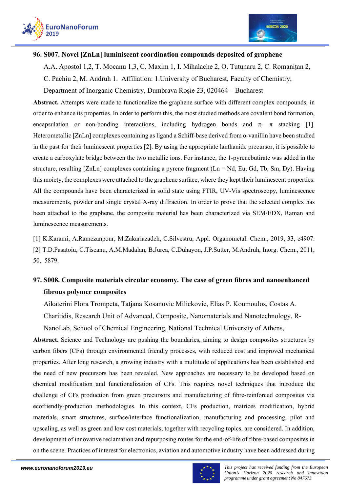



### **96. S007. Novel [ZnLn] luminiscent coordination compounds deposited of graphene**

A.A. Apostol 1,2, T. Mocanu 1,3, C. Maxim 1, I. Mihalache 2, O. Tutunaru 2, C. Romanițan 2,

C. Pachiu 2, M. Andruh 1. Affiliation: 1.University of Bucharest, Faculty of Chemistry,

Department of Inorganic Chemistry, Dumbrava Roșie 23, 020464 – Bucharest

Abstract. Attempts were made to functionalize the graphene surface with different complex compounds, in order to enhance its properties. In order to perform this, the most studied methods are covalent bond formation, encapsulation or non-bonding interactions, including hydrogen bonds and  $\pi$ -  $\pi$  stacking [1]. Heterometallic [ZnLn] complexes containing as ligand a Schiff-base derived from o-vanillin have been studied in the past for their luminescent properties [2]. By using the appropriate lanthanide precursor, it is possible to create a carboxylate bridge between the two metallic ions. For instance, the 1-pyrenebutirate was added in the structure, resulting [ZnLn] complexes containing a pyrene fragment (Ln = Nd, Eu, Gd, Tb, Sm, Dy). Having this moiety, the complexes were attached to the graphene surface, where they kept their luminescent properties. All the compounds have been characterized in solid state using FTIR, UV-Vis spectroscopy, luminescence measurements, powder and single crystal X-ray diffraction. In order to prove that the selected complex has been attached to the graphene, the composite material has been characterized via SEM/EDX, Raman and luminescence measurements.

[1] K.Karami, A.Ramezanpour, M.Zakariazadeh, C.Silvestru, Appl. Organometal. Chem., 2019, 33, e4907. [2] T.D.Pasatoiu, C.Tiseanu, A.M.Madalan, B.Jurca, C.Duhayon, J.P.Sutter, M.Andruh, Inorg. Chem., 2011, 50, 5879.

# **97. S008. Composite materials circular economy. The case of green fibres and nanoenhanced fibrous polymer composites**

Aikaterini Flora Trompeta, Tatjana Kosanovic Milickovic, Elias P. Koumoulos, Costas A. Charitidis, Research Unit of Advanced, Composite, Nanomaterials and Nanotechnology, R-

NanoLab, School of Chemical Engineering, National Technical University of Athens,

**Abstract.** Science and Technology are pushing the boundaries, aiming to design composites structures by carbon fibers (CFs) through environmental friendly processes, with reduced cost and improved mechanical properties. After long research, a growing industry with a multitude of applications has been established and the need of new precursors has been revealed. New approaches are necessary to be developed based on chemical modification and functionalization of CFs. This requires novel techniques that introduce the challenge of CFs production from green precursors and manufacturing of fibre-reinforced composites via ecofriendly-production methodologies. In this context, CFs production, matrices modification, hybrid materials, smart structures, surface/interface functionalization, manufacturing and processing, pilot and upscaling, as well as green and low cost materials, together with recycling topics, are considered. In addition, development of innovative reclamation and repurposing routes for the end-of-life of fibre-based composites in on the scene. Practices of interest for electronics, aviation and automotive industry have been addressed during

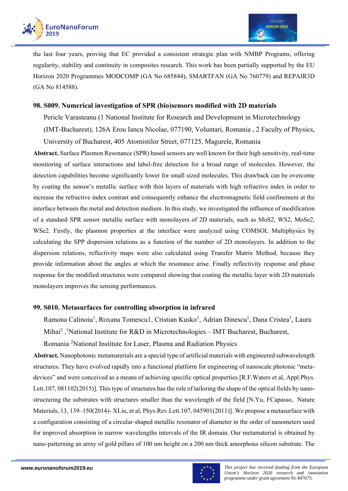

the last four years, proving that EC provided a consistent strategic plan with NMBP Programs, offering regularity, stability and continuity in composites research. This work has been partially supported by the EU Horizon 2020 Programmes MODCOMP (GA No 685844), SMARTFAN (GA No 760779) and REPAIR3D (GA No 814588).

### **98. S009. Numerical investigation of SPR (bio)sensors modified with 2D materials**

Pericle Varasteanu (1 National Institute for Research and Development in Microtechnology

(IMT-Bucharest), 126A Erou Iancu Nicolae, 077190, Voluntari, Romania , 2 Faculty of Physics, University of Bucharest, 405 Atomistilor Street, 077125, Magurele, Romania

**Abstract.** Surface Plasmon Resonance (SPR) based sensors are well known for their high sensitivity, real-time monitoring of surface interactions and label-free detection for a broad range of molecules. However, the detection capabilities become significantly lower for small sized molecules. This drawback can be overcome by coating the sensor's metallic surface with thin layers of materials with high refractive index in order to increase the refractive index contrast and consequently enhance the electromagnetic field confinement at the interface between the metal and detection medium. In this study, we investigated the influence of modification of a standard SPR sensor metallic surface with monolayers of 2D materials, such as MoS2, WS2, MoSe2, WSe2. Firstly, the plasmon properties at the interface were analyzed using COMSOL Multiphysics by calculating the SPP dispersion relations as a function of the number of 2D monolayers. In addition to the dispersion relations, reflectivity maps were also calculated using Transfer Matrix Method, because they provide information about the angles at which the resonance arise. Finally reflectivity response and phase response for the modified structures were compared showing that coating the metallic layer with 2D materials monolayers improves the sensing performances.

### **99. S010. Metasurfaces for controlling absorption in infrared**

Ramona Calinoiu<sup>1</sup>, Roxana Tomescu1, Cristian Kusko<sup>1</sup>, Adrian Dinescu<sup>1</sup>, Dana Cristea<sup>1</sup>, Laura Mihai<sup>2</sup>,<sup>1</sup>National Institute for R&D in Microtechnologies – IMT Bucharest, Bucharest,

Romania<sup>2</sup>National Institute for Laser, Plasma and Radiation Physics

**Abstract.** Nanophotonic metamaterials are a special type of artificial materials with engineered subwavelength structures. They have evolved rapidly into a functional platform for engineering of nanoscale photonic "metadevices" and were conceived as a means of achieving specific optical properties [R.F.Waters et al, Appl.Phys. Lett.107, 081102(2015)]. This type of structures has the role of tailoring the shape of the optical fields by nanostructuring the substrates with structures smaller than the wavelength of the field [N.Yu, FCapasso, Nature Materials, 13, 139–150(2014)- XLiu, et al, Phys.Rev.Lett.107, 045901(2011)]. We propose a metasurface with a configuration consisting of a circular-shaped metallic resonator of diameter in the order of nanometers used for improved absorption in narrow wavelengths intervals of the IR domain. Our metamaterial is obtained by nano-patterning an array of gold pillars of 100 nm height on a 200 nm thick amorphous silicon substrate. The

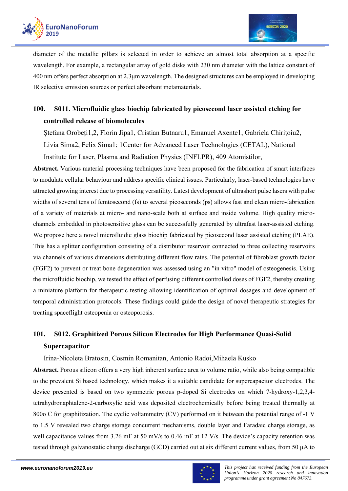

diameter of the metallic pillars is selected in order to achieve an almost total absorption at a specific wavelength. For example, a rectangular array of gold disks with 230 nm diameter with the lattice constant of 400 nm offers perfect absorption at 2.3μm wavelength. The designed structures can be employed in developing IR selective emission sources or perfect absorbant metamaterials.

# **100. S011. Microfluidic glass biochip fabricated by picosecond laser assisted etching for controlled release of biomolecules**

Ștefana Orobeți1,2, Florin Jipa1, Cristian Butnaru1, Emanuel Axente1, Gabriela Chirițoiu2, Livia Sima2, Felix Sima1; 1Center for Advanced Laser Technologies (CETAL), National Institute for Laser, Plasma and Radiation Physics (INFLPR), 409 Atomistilor,

**Abstract.** Various material processing techniques have been proposed for the fabrication of smart interfaces to modulate cellular behaviour and address specific clinical issues. Particularly, laser-based technologies have attracted growing interest due to processing versatility. Latest development of ultrashort pulse lasers with pulse widths of several tens of femtosecond (fs) to several picoseconds (ps) allows fast and clean micro-fabrication of a variety of materials at micro- and nano-scale both at surface and inside volume. High quality microchannels embedded in photosensitive glass can be successfully generated by ultrafast laser-assisted etching. We propose here a novel microfluidic glass biochip fabricated by picosecond laser assisted etching (PLAE). This has a splitter configuration consisting of a distributor reservoir connected to three collecting reservoirs via channels of various dimensions distributing different flow rates. The potential of fibroblast growth factor (FGF2) to prevent or treat bone degeneration was assessed using an "in vitro" model of osteogenesis. Using the microfluidic biochip, we tested the effect of perfusing different controlled doses of FGF2, thereby creating a miniature platform for therapeutic testing allowing identification of optimal dosages and development of temporal administration protocols. These findings could guide the design of novel therapeutic strategies for treating spaceflight osteopenia or osteoporosis.

# **101. S012. Graphitized Porous Silicon Electrodes for High Performance Quasi-Solid Supercapacitor**

Irina-Nicoleta Bratosin, Cosmin Romanitan, Antonio Radoi,Mihaela Kusko

**Abstract.** Porous silicon offers a very high inherent surface area to volume ratio, while also being compatible to the prevalent Si based technology, which makes it a suitable candidate for supercapacitor electrodes. The device presented is based on two symmetric porous p-doped Si electrodes on which 7-hydroxy-1,2,3,4 tetrahydronaphtalene-2-carboxylic acid was deposited electrochemically before being treated thermally at 800o C for graphitization. The cyclic voltammetry (CV) performed on it between the potential range of -1 V to 1.5 V revealed two charge storage concurrent mechanisms, double layer and Faradaic charge storage, as well capacitance values from 3.26 mF at 50 mV/s to 0.46 mF at 12 V/s. The device's capacity retention was tested through galvanostatic charge discharge (GCD) carried out at six different current values, from 50 µA to

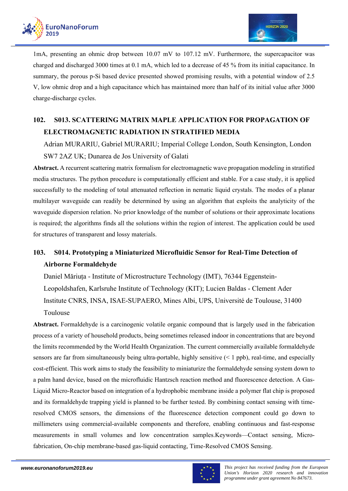



1mA, presenting an ohmic drop between 10.07 mV to 107.12 mV. Furthermore, the supercapacitor was charged and discharged 3000 times at 0.1 mA, which led to a decrease of 45 % from its initial capacitance. In summary, the porous p-Si based device presented showed promising results, with a potential window of 2.5 V, low ohmic drop and a high capacitance which has maintained more than half of its initial value after 3000 charge-discharge cycles.

# **102. S013. SCATTERING MATRIX MAPLE APPLICATION FOR PROPAGATION OF ELECTROMAGNETIC RADIATION IN STRATIFIED MEDIA**

Adrian MURARIU, Gabriel MURARIU; Imperial College London, South Kensington, London SW7 2AZ UK; Dunarea de Jos University of Galati

**Abstract.** A recurrent scattering matrix formalism for electromagnetic wave propagation modeling in stratified media structures. The python procedure is computationally efficient and stable. For a case study, it is applied successfully to the modeling of total attenuated reflection in nematic liquid crystals. The modes of a planar multilayer waveguide can readily be determined by using an algorithm that exploits the analyticity of the waveguide dispersion relation. No prior knowledge of the number of solutions or their approximate locations is required; the algorithms finds all the solutions within the region of interest. The application could be used for structures of transparent and lossy materials.

# **103. S014. Prototyping a Miniaturized Microfluidic Sensor for Real-Time Detection of Airborne Formaldehyde**

Daniel Măriuța - Institute of Microstructure Technology (IMT), 76344 Eggenstein-Leopoldshafen, Karlsruhe Institute of Technology (KIT); Lucien Baldas - Clement Ader Institute CNRS, INSA, ISAE-SUPAERO, Mines Albi, UPS, Université de Toulouse, 31400 Toulouse

**Abstract.** Formaldehyde is a carcinogenic volatile organic compound that is largely used in the fabrication process of a variety of household products, being sometimes released indoor in concentrations that are beyond the limits recommended by the World Health Organization. The current commercially available formaldehyde sensors are far from simultaneously being ultra-portable, highly sensitive (< 1 ppb), real-time, and especially cost-efficient. This work aims to study the feasibility to miniaturize the formaldehyde sensing system down to a palm hand device, based on the microfluidic Hantzsch reaction method and fluorescence detection. A Gas-Liquid Micro-Reactor based on integration of a hydrophobic membrane inside a polymer flat chip is proposed and its formaldehyde trapping yield is planned to be further tested. By combining contact sensing with timeresolved CMOS sensors, the dimensions of the fluorescence detection component could go down to millimeters using commercial-available components and therefore, enabling continuous and fast-response measurements in small volumes and low concentration samples.Keywords—Contact sensing, Microfabrication, On-chip membrane-based gas-liquid contacting, Time-Resolved CMOS Sensing.

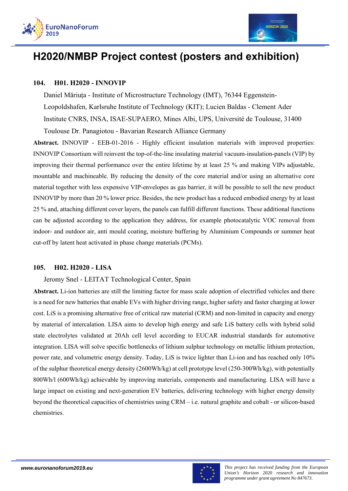



# **H2020/NMBP Project contest (posters and exhibition)**

### **104. H01. H2020 - INNOVIP**

Daniel Măriuța - Institute of Microstructure Technology (IMT), 76344 Eggenstein-Leopoldshafen, Karlsruhe Institute of Technology (KIT); Lucien Baldas - Clement Ader Institute CNRS, INSA, ISAE-SUPAERO, Mines Albi, UPS, Université de Toulouse, 31400 Toulouse Dr. Panagiotou - Bavarian Research Alliance Germany

**Abstract.** INNOVIP - EEB-01-2016 - Highly efficient insulation materials with improved properties: INNOVIP Consortium will reinvent the top-of-the-line insulating material vacuum-insulation-panels (VIP) by improving their thermal performance over the entire lifetime by at least 25 % and making VIPs adjustable, mountable and machineable. By reducing the density of the core material and/or using an alternative core material together with less expensive VIP-envelopes as gas barrier, it will be possible to sell the new product INNOVIP by more than 20 % lower price. Besides, the new product has a reduced embodied energy by at least 25 % and, attaching different cover layers, the panels can fulfill different functions. These additional functions can be adjusted according to the application they address, for example photocatalytic VOC removal from indoor- and outdoor air, anti mould coating, moisture buffering by Aluminium Compounds or summer heat cut-off by latent heat activated in phase change materials (PCMs).

#### **105. H02. H2020 - LISA**

Jeromy Snel - LEITAT Technological Center, Spain

**Abstract.** Li-ion batteries are still the limiting factor for mass scale adoption of electrified vehicles and there is a need for new batteries that enable EVs with higher driving range, higher safety and faster charging at lower cost. LiS is a promising alternative free of critical raw material (CRM) and non-limited in capacity and energy by material of intercalation. LISA aims to develop high energy and safe LiS battery cells with hybrid solid state electrolytes validated at 20Ah cell level according to EUCAR industrial standards for automotive integration. LISA will solve specific bottlenecks of lithium sulphur technology on metallic lithium protection, power rate, and volumetric energy density. Today, LiS is twice lighter than Li-ion and has reached only 10% of the sulphur theoretical energy density (2600Wh/kg) at cell prototype level (250-300Wh/kg), with potentially 800Wh/l (600Wh/kg) achievable by improving materials, components and manufacturing. LISA will have a large impact on existing and next-generation EV batteries, delivering technology with higher energy density beyond the theoretical capacities of chemistries using CRM – i.e. natural graphite and cobalt - or silicon-based chemistries.

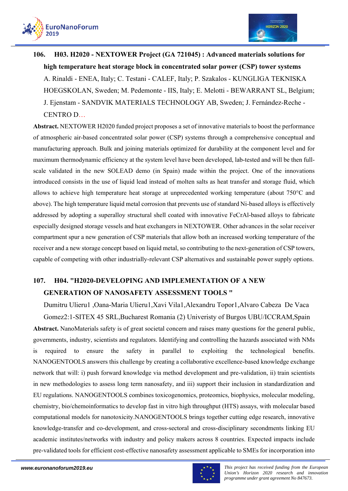

# **106. H03. H2020 - NEXTOWER Project (GA 721045) : Advanced materials solutions for high temperature heat storage block in concentrated solar power (CSP) tower systems**  A. Rinaldi - ENEA, Italy; C. Testani - CALEF, Italy; P. Szakalos - KUNGLIGA TEKNISKA HOEGSKOLAN, Sweden; M. Pedemonte - IIS, Italy; E. Melotti - BEWARRANT SL, Belgium; J. Ejenstam - SANDVIK MATERIALS TECHNOLOGY AB, Sweden; J. Fernández-Reche - CENTRO D…

**Abstract.** NEXTOWER H2020 funded project proposes a set of innovative materials to boost the performance of atmospheric air-based concentrated solar power (CSP) systems through a comprehensive conceptual and manufacturing approach. Bulk and joining materials optimized for durability at the component level and for maximum thermodynamic efficiency at the system level have been developed, lab-tested and will be then fullscale validated in the new SOLEAD demo (in Spain) made within the project. One of the innovations introduced consists in the use of liquid lead instead of molten salts as heat transfer and storage fluid, which allows to achieve high temperature heat storage at unprecedented working temperature (about 750°C and above). The high temperature liquid metal corrosion that prevents use of standard Ni-based alloys is effectively addressed by adopting a superalloy structural shell coated with innovative FeCrAl-based alloys to fabricate especially designed storage vessels and heat exchangers in NEXTOWER. Other advances in the solar receiver compartment spur a new generation of CSP materials that allow both an increased working temperature of the receiver and a new storage concept based on liquid metal, so contributing to the next-generation of CSP towers, capable of competing with other industrially-relevant CSP alternatives and sustainable power supply options.

# **107. H04. "H2020-DEVELOPING AND IMPLEMENTATION OF A NEW GENERATION OF NANOSAFETY ASSESSMENT TOOLS "**

Dumitru Ulieru1 ,Oana-Maria Ulieru1,Xavi Vila1,Alexandru Topor1,Alvaro Cabeza De Vaca Gomez2:1-SITEX 45 SRL,Bucharest Romania (2) Univeristy of Burgos UBU/ICCRAM,Spain **Abstract.** NanoMaterials safety is of great societal concern and raises many questions for the general public, governments, industry, scientists and regulators. Identifying and controlling the hazards associated with NMs is required to ensure the safety in parallel to exploiting the technological benefits. NANOGENTOOLS answers this challenge by creating a collaborative excellence-based knowledge exchange network that will: i) push forward knowledge via method development and pre-validation, ii) train scientists in new methodologies to assess long term nanosafety, and iii) support their inclusion in standardization and EU regulations. NANOGENTOOLS combines toxicogenomics, proteomics, biophysics, molecular modeling, chemistry, bio/chemoinformatics to develop fast in vitro high throughput (HTS) assays, with molecular based computational models for nanotoxicity.NANOGENTOOLS brings together cutting edge research, innovative knowledge-transfer and co-development, and cross-sectoral and cross-disciplinary secondments linking EU academic institutes/networks with industry and policy makers across 8 countries. Expected impacts include pre-validated tools for efficient cost-effective nanosafety assessment applicable to SMEs for incorporation into

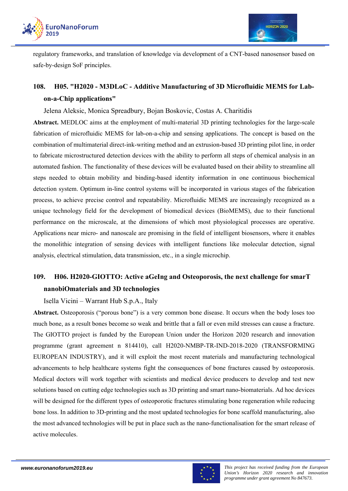



regulatory frameworks, and translation of knowledge via development of a CNT-based nanosensor based on safe-by-design SoF principles.

# **108. H05. "H2020 - M3DLoC - Additive Manufacturing of 3D Microfluidic MEMS for Labon-a-Chip applications"**

Jelena Aleksic, Monica Spreadbury, Bojan Boskovic, Costas A. Charitidis

**Abstract.** MEDLOC aims at the employment of multi-material 3D printing technologies for the large-scale fabrication of microfluidic MEMS for lab-on-a-chip and sensing applications. The concept is based on the combination of multimaterial direct-ink-writing method and an extrusion-based 3D printing pilot line, in order to fabricate microstructured detection devices with the ability to perform all steps of chemical analysis in an automated fashion. The functionality of these devices will be evaluated based on their ability to streamline all steps needed to obtain mobility and binding-based identity information in one continuous biochemical detection system. Optimum in-line control systems will be incorporated in various stages of the fabrication process, to achieve precise control and repeatability. Microfluidic MEMS are increasingly recognized as a unique technology field for the development of biomedical devices (BioMEMS), due to their functional performance on the microscale, at the dimensions of which most physiological processes are operative. Applications near micro- and nanoscale are promising in the field of intelligent biosensors, where it enables the monolithic integration of sensing devices with intelligent functions like molecular detection, signal analysis, electrical stimulation, data transmission, etc., in a single microchip.

# **109. H06. H2020-GIOTTO: Active aGeIng and Osteoporosis, the next challenge for smarT nanobiOmaterials and 3D technologies**

Isella Vicini – Warrant Hub S.p.A., Italy

**Abstract.** Osteoporosis ("porous bone") is a very common bone disease. It occurs when the body loses too much bone, as a result bones become so weak and brittle that a fall or even mild stresses can cause a fracture. The GIOTTO project is funded by the European Union under the Horizon 2020 research and innovation programme (grant agreement n 814410), call H2020-NMBP-TR-IND-2018-2020 (TRANSFORMING EUROPEAN INDUSTRY), and it will exploit the most recent materials and manufacturing technological advancements to help healthcare systems fight the consequences of bone fractures caused by osteoporosis. Medical doctors will work together with scientists and medical device producers to develop and test new solutions based on cutting edge technologies such as 3D printing and smart nano-biomaterials. Ad hoc devices will be designed for the different types of osteoporotic fractures stimulating bone regeneration while reducing bone loss. In addition to 3D-printing and the most updated technologies for bone scaffold manufacturing, also the most advanced technologies will be put in place such as the nano-functionalisation for the smart release of active molecules.

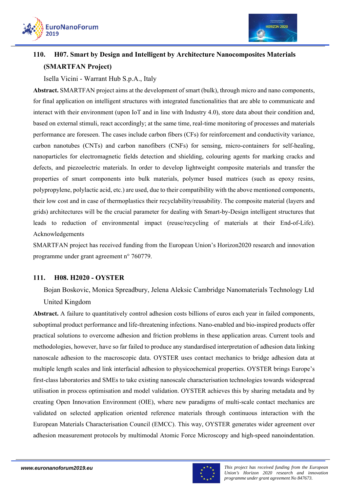



# **110. H07. Smart by Design and Intelligent by Architecture Nanocomposites Materials (SMARTFAN Project)**

### Isella Vicini - Warrant Hub S.p.A., Italy

**Abstract.** SMARTFAN project aims at the development of smart (bulk), through micro and nano components, for final application on intelligent structures with integrated functionalities that are able to communicate and interact with their environment (upon IoT and in line with Industry 4.0), store data about their condition and, based on external stimuli, react accordingly; at the same time, real-time monitoring of processes and materials performance are foreseen. The cases include carbon fibers (CFs) for reinforcement and conductivity variance, carbon nanotubes (CNTs) and carbon nanofibers (CNFs) for sensing, micro-containers for self-healing, nanoparticles for electromagnetic fields detection and shielding, colouring agents for marking cracks and defects, and piezoelectric materials. In order to develop lightweight composite materials and transfer the properties of smart components into bulk materials, polymer based matrices (such as epoxy resins, polypropylene, polylactic acid, etc.) are used, due to their compatibility with the above mentioned components, their low cost and in case of thermoplastics their recyclability/reusability. The composite material (layers and grids) architectures will be the crucial parameter for dealing with Smart-by-Design intelligent structures that leads to reduction of environmental impact (reuse/recycling of materials at their End-of-Life). Acknowledgements

SMARTFAN project has received funding from the European Union's Horizon2020 research and innovation programme under grant agreement n° 760779.

### **111. H08. H2020 - OYSTER**

Bojan Boskovic, Monica Spreadbury, Jelena Aleksic Cambridge Nanomaterials Technology Ltd United Kingdom

**Abstract.** A failure to quantitatively control adhesion costs billions of euros each year in failed components, suboptimal product performance and life-threatening infections. Nano-enabled and bio-inspired products offer practical solutions to overcome adhesion and friction problems in these application areas. Current tools and methodologies, however, have so far failed to produce any standardised interpretation of adhesion data linking nanoscale adhesion to the macroscopic data. OYSTER uses contact mechanics to bridge adhesion data at multiple length scales and link interfacial adhesion to physicochemical properties. OYSTER brings Europe's first-class laboratories and SMEs to take existing nanoscale characterisation technologies towards widespread utilisation in process optimisation and model validation. OYSTER achieves this by sharing metadata and by creating Open Innovation Environment (OIE), where new paradigms of multi-scale contact mechanics are validated on selected application oriented reference materials through continuous interaction with the European Materials Characterisation Council (EMCC). This way, OYSTER generates wider agreement over adhesion measurement protocols by multimodal Atomic Force Microscopy and high-speed nanoindentation.

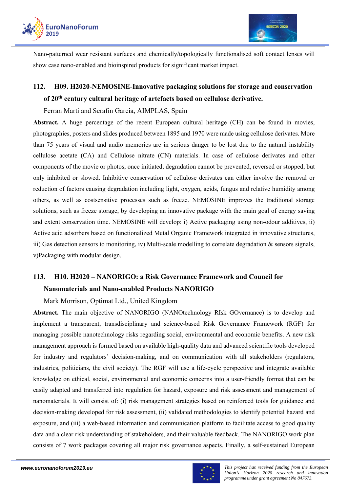

Nano-patterned wear resistant surfaces and chemically/topologically functionalised soft contact lenses will show case nano-enabled and bioinspired products for significant market impact.

# **112. H09. H2020-NEMOSINE-Innovative packaging solutions for storage and conservation of 20th century cultural heritage of artefacts based on cellulose derivative.**

Ferran Marti and Serafin Garcia, AIMPLAS, Spain

**Abstract.** A huge percentage of the recent European cultural heritage (CH) can be found in movies, photographies, posters and slides produced between 1895 and 1970 were made using cellulose derivates. More than 75 years of visual and audio memories are in serious danger to be lost due to the natural instability cellulose acetate (CA) and Cellulose nitrate (CN) materials. In case of cellulose derivates and other components of the movie or photos, once initiated, degradation cannot be prevented, reversed or stopped, but only inhibited or slowed. Inhibitive conservation of cellulose derivates can either involve the removal or reduction of factors causing degradation including light, oxygen, acids, fungus and relative humidity among others, as well as costsensitive processes such as freeze. NEMOSINE improves the traditional storage solutions, such as freeze storage, by developing an innovative package with the main goal of energy saving and extent conservation time. NEMOSINE will develop: i) Active packaging using non-odour additives, ii) Active acid adsorbers based on functionalized Metal Organic Framework integrated in innovative structures, iii) Gas detection sensors to monitoring, iv) Multi-scale modelling to correlate degradation  $\&$  sensors signals, v)Packaging with modular design.

# **113. H10. H2020 – NANORIGO: a Risk Governance Framework and Council for Nanomaterials and Nano-enabled Products NANORIGO**

Mark Morrison, Optimat Ltd., United Kingdom

**Abstract.** The main objective of NANORIGO (NANOtechnology RIsk GOvernance) is to develop and implement a transparent, transdisciplinary and science-based Risk Governance Framework (RGF) for managing possible nanotechnology risks regarding social, environmental and economic benefits. A new risk management approach is formed based on available high-quality data and advanced scientific tools developed for industry and regulators' decision-making, and on communication with all stakeholders (regulators, industries, politicians, the civil society). The RGF will use a life-cycle perspective and integrate available knowledge on ethical, social, environmental and economic concerns into a user-friendly format that can be easily adapted and transferred into regulation for hazard, exposure and risk assessment and management of nanomaterials. It will consist of: (i) risk management strategies based on reinforced tools for guidance and decision-making developed for risk assessment, (ii) validated methodologies to identify potential hazard and exposure, and (iii) a web-based information and communication platform to facilitate access to good quality data and a clear risk understanding of stakeholders, and their valuable feedback. The NANORIGO work plan consists of 7 work packages covering all major risk governance aspects. Finally, a self-sustained European

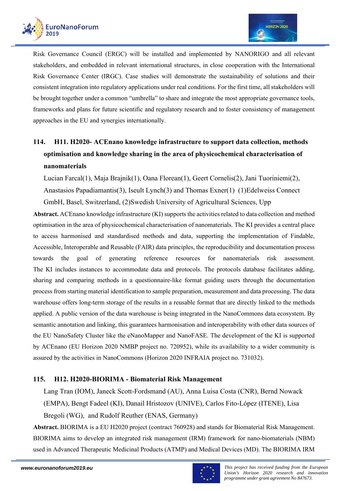

Risk Governance Council (ERGC) will be installed and implemented by NANORIGO and all relevant stakeholders, and embedded in relevant international structures, in close cooperation with the International Risk Governance Center (IRGC). Case studies will demonstrate the sustainability of solutions and their consistent integration into regulatory applications under real conditions. For the first time, all stakeholders will be brought together under a common "umbrella" to share and integrate the most appropriate governance tools, frameworks and plans for future scientific and regulatory research and to foster consistency of management approaches in the EU and synergies internationally.

# **114. H11. H2020- ACEnano knowledge infrastructure to support data collection, methods optimisation and knowledge sharing in the area of physicochemical characterisation of nanomaterials**

Lucian Farcal(1), Maja Brajnik(1), Oana Florean(1), Geert Cornelis(2), Jani Tuoriniemi(2), Anastasios Papadiamantis(3), Iseult Lynch(3) and Thomas Exner(1) (1)Edelweiss Connect GmbH, Basel, Switzerland, (2)Swedish University of Agricultural Sciences, Upp

**Abstract.** ACEnano knowledge infrastructure (KI) supports the activities related to data collection and method optimisation in the area of physicochemical characterisation of nanomaterials. The KI provides a central place to access harmonised and standardised methods and data, supporting the implementation of Findable, Accessible, Interoperable and Reusable (FAIR) data principles, the reproducibility and documentation process towards the goal of generating reference resources for nanomaterials risk assessment. The KI includes instances to accommodate data and protocols. The protocols database facilitates adding, sharing and comparing methods in a questionnaire-like format guiding users through the documentation process from starting material identification to sample preparation, measurement and data processing. The data warehouse offers long-term storage of the results in a reusable format that are directly linked to the methods applied. A public version of the data warehouse is being integrated in the NanoCommons data ecosystem. By semantic annotation and linking, this guarantees harmonisation and interoperability with other data sources of the EU NanoSafety Cluster like the eNanoMapper and NanoFASE. The development of the KI is supported by ACEnano (EU Horizon 2020 NMBP project no. 720952), while its availability to a wider community is assured by the activities in NanoCommons (Horizon 2020 INFRAIA project no. 731032).

### **115. H12. H2020-BIORIMA - Biomaterial Risk Management**

Lang Tran (IOM), Janeck Scott-Fordsmand (AU), Anna Luisa Costa (CNR), Bernd Nowack (EMPA), Bengt Fadeel (KI), Danail Hristozov (UNIVE), Carlos Fito-López (ITENE), Lisa Bregoli (WG), and Rudolf Reuther (ENAS, Germany)

**Abstract.** BIORIMA is a EU H2020 project (contract 760928) and stands for Biomaterial Risk Management. BIORIMA aims to develop an integrated risk management (IRM) framework for nano-biomaterials (NBM) used in Advanced Therapeutic Medicinal Products (ATMP) and Medical Devices (MD). The BIORIMA IRM

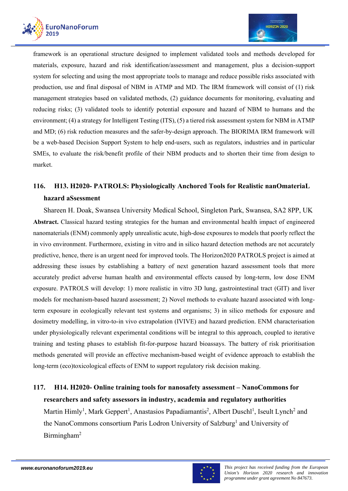



framework is an operational structure designed to implement validated tools and methods developed for materials, exposure, hazard and risk identification/assessment and management, plus a decision-support system for selecting and using the most appropriate tools to manage and reduce possible risks associated with production, use and final disposal of NBM in ATMP and MD. The IRM framework will consist of (1) risk management strategies based on validated methods, (2) guidance documents for monitoring, evaluating and reducing risks; (3) validated tools to identify potential exposure and hazard of NBM to humans and the environment; (4) a strategy for Intelligent Testing (ITS), (5) a tiered risk assessment system for NBM in ATMP and MD; (6) risk reduction measures and the safer-by-design approach. The BIORIMA IRM framework will be a web-based Decision Support System to help end-users, such as regulators, industries and in particular SMEs, to evaluate the risk/benefit profile of their NBM products and to shorten their time from design to market.

# **116. H13. H2020- PATROLS: Physiologically Anchored Tools for Realistic nanOmateriaL hazard aSsessment**

Shareen H. Doak, Swansea University Medical School, Singleton Park, Swansea, SA2 8PP, UK **Abstract.** Classical hazard testing strategies for the human and environmental health impact of engineered nanomaterials (ENM) commonly apply unrealistic acute, high-dose exposures to models that poorly reflect the in vivo environment. Furthermore, existing in vitro and in silico hazard detection methods are not accurately predictive, hence, there is an urgent need for improved tools. The Horizon2020 PATROLS project is aimed at addressing these issues by establishing a battery of next generation hazard assessment tools that more accurately predict adverse human health and environmental effects caused by long-term, low dose ENM exposure. PATROLS will develop: 1) more realistic in vitro 3D lung, gastrointestinal tract (GIT) and liver models for mechanism-based hazard assessment; 2) Novel methods to evaluate hazard associated with longterm exposure in ecologically relevant test systems and organisms; 3) in silico methods for exposure and dosimetry modelling, in vitro-to-in vivo extrapolation (IVIVE) and hazard prediction. ENM characterisation under physiologically relevant experimental conditions will be integral to this approach, coupled to iterative training and testing phases to establish fit-for-purpose hazard bioassays. The battery of risk prioritisation methods generated will provide an effective mechanism-based weight of evidence approach to establish the long-term (eco)toxicological effects of ENM to support regulatory risk decision making.

# **117. H14. H2020- Online training tools for nanosafety assessment – NanoCommons for researchers and safety assessors in industry, academia and regulatory authorities**

Martin Himly<sup>1</sup>, Mark Geppert<sup>1</sup>, Anastasios Papadiamantis<sup>2</sup>, Albert Duschl<sup>1</sup>, Iseult Lynch<sup>2</sup> and the NanoCommons consortium Paris Lodron University of Salzburg<sup>1</sup> and University of Birmingham2

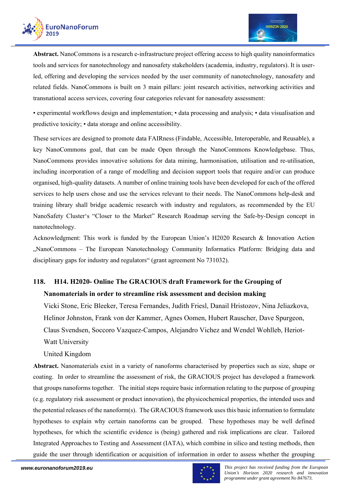

**Abstract.** NanoCommons is a research e-infrastructure project offering access to high quality nanoinformatics tools and services for nanotechnology and nanosafety stakeholders (academia, industry, regulators). It is userled, offering and developing the services needed by the user community of nanotechnology, nanosafety and related fields. NanoCommons is built on 3 main pillars: joint research activities, networking activities and transnational access services, covering four categories relevant for nanosafety assessment:

• experimental workflows design and implementation; • data processing and analysis; • data visualisation and predictive toxicity; • data storage and online accessibility.

These services are designed to promote data FAIRness (Findable, Accessible, Interoperable, and Reusable), a key NanoCommons goal, that can be made Open through the NanoCommons Knowledgebase. Thus, NanoCommons provides innovative solutions for data mining, harmonisation, utilisation and re-utilisation, including incorporation of a range of modelling and decision support tools that require and/or can produce organised, high-quality datasets. A number of online training tools have been developed for each of the offered services to help users chose and use the services relevant to their needs. The NanoCommons help-desk and training library shall bridge academic research with industry and regulators, as recommended by the EU NanoSafety Cluster's "Closer to the Market" Research Roadmap serving the Safe-by-Design concept in nanotechnology.

Acknowledgment: This work is funded by the European Union's H2020 Research & Innovation Action "NanoCommons – The European Nanotechnology Community Informatics Platform: Bridging data and disciplinary gaps for industry and regulators" (grant agreement No 731032).

### **118. H14. H2020- Online The GRACIOUS draft Framework for the Grouping of Nanomaterials in order to streamline risk assessment and decision making**

Vicki Stone, Eric Bleeker, Teresa Fernandes, Judith Friesl, Danail Hristozov, Nina Jeliazkova, Helinor Johnston, Frank von der Kammer, Agnes Oomen, Hubert Rauscher, Dave Spurgeon, Claus Svendsen, Soccoro Vazquez-Campos, Alejandro Vichez and Wendel Wohlleb, Heriot-

Watt University

United Kingdom

**Abstract.** Nanomaterials exist in a variety of nanoforms characterised by properties such as size, shape or coating. In order to streamline the assessment of risk, the GRACIOUS project has developed a framework that groups nanoforms together. The initial steps require basic information relating to the purpose of grouping (e.g. regulatory risk assessment or product innovation), the physicochemical properties, the intended uses and the potential releases of the nanoform(s). The GRACIOUS framework uses this basic information to formulate hypotheses to explain why certain nanoforms can be grouped. These hypotheses may be well defined hypotheses, for which the scientific evidence is (being) gathered and risk implications are clear. Tailored Integrated Approaches to Testing and Assessment (IATA), which combine in silico and testing methods, then guide the user through identification or acquisition of information in order to assess whether the grouping